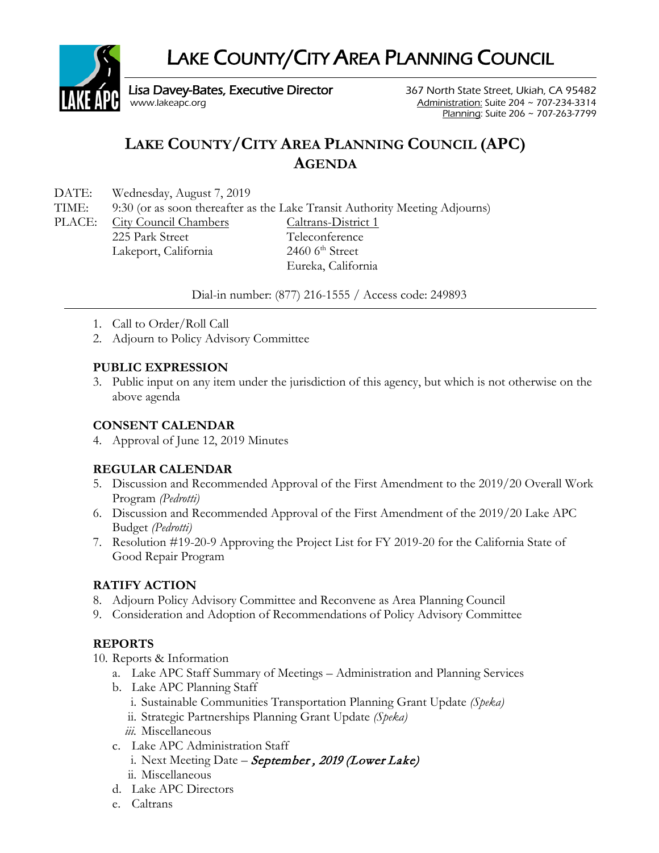LAKE COUNTY/CITY AREA PLANNING COUNCIL



Lisa Davey-Bates, Executive Director 367 North State Street, Ukiah, CA 95482<br>314 Administration: Suite 204 ~ 707-234-3314

Administration: Suite 204  $\sim$  707-234-3314 Planning: Suite 206 ~ 707-263-7799

# **LAKE COUNTY/CITY AREA PLANNING COUNCIL (APC) AGENDA**

DATE: Wednesday, August 7, 2019

TIME: 9:30 (or as soon thereafter as the Lake Transit Authority Meeting Adjourns)

PLACE: City Council Chambers Caltrans-District 1 225 Park Street Teleconference Lakeport, California 2460 6<sup>th</sup> Street

Eureka, California

Dial-in number: (877) 216-1555 / Access code: 249893

- 1. Call to Order/Roll Call
- 2. Adjourn to Policy Advisory Committee

# **PUBLIC EXPRESSION**

3. Public input on any item under the jurisdiction of this agency, but which is not otherwise on the above agenda

## **CONSENT CALENDAR**

4. Approval of June 12, 2019 Minutes

# **REGULAR CALENDAR**

- 5. Discussion and Recommended Approval of the First Amendment to the 2019/20 Overall Work Program *(Pedrotti)*
- 6. Discussion and Recommended Approval of the First Amendment of the 2019/20 Lake APC Budget *(Pedrotti)*
- 7. Resolution #19-20-9 Approving the Project List for FY 2019-20 for the California State of Good Repair Program

# **RATIFY ACTION**

- 8. Adjourn Policy Advisory Committee and Reconvene as Area Planning Council
- 9. Consideration and Adoption of Recommendations of Policy Advisory Committee

# **REPORTS**

- 10. Reports & Information
	- a. Lake APC Staff Summary of Meetings Administration and Planning Services
	- b. Lake APC Planning Staff
		- i. Sustainable Communities Transportation Planning Grant Update *(Speka)*
		- ii. Strategic Partnerships Planning Grant Update *(Speka)*
		- *iii.* Miscellaneous
	- c. Lake APC Administration Staff
		- i. Next Meeting Date September, 2019 (Lower Lake)
		- ii. Miscellaneous
	- d. Lake APC Directors
	- e. Caltrans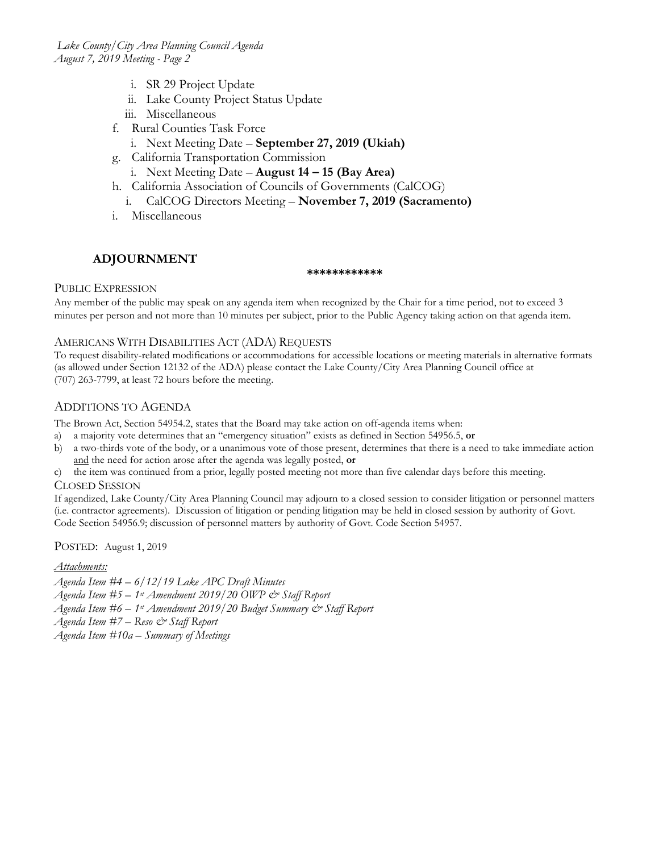- i. SR 29 Project Update
- ii. Lake County Project Status Update
- iii. Miscellaneous
- f. Rural Counties Task Force
	- i. Next Meeting Date **September 27, 2019 (Ukiah)**
- g. California Transportation Commission
- i. Next Meeting Date **August 14 – 15 (Bay Area)**
- h. California Association of Councils of Governments (CalCOG)
	- i. CalCOG Directors Meeting **November 7, 2019 (Sacramento)**
- i. Miscellaneous

#### **ADJOURNMENT**

#### **\*\*\*\*\*\*\*\*\*\*\*\***

#### PUBLIC EXPRESSION

Any member of the public may speak on any agenda item when recognized by the Chair for a time period, not to exceed 3 minutes per person and not more than 10 minutes per subject, prior to the Public Agency taking action on that agenda item.

#### AMERICANS WITH DISABILITIES ACT (ADA) REQUESTS

To request disability-related modifications or accommodations for accessible locations or meeting materials in alternative formats (as allowed under Section 12132 of the ADA) please contact the Lake County/City Area Planning Council office at (707) 263-7799, at least 72 hours before the meeting.

#### ADDITIONS TO AGENDA

The Brown Act, Section 54954.2, states that the Board may take action on off-agenda items when:

- a) a majority vote determines that an "emergency situation" exists as defined in Section 54956.5, **or**
- b) a two-thirds vote of the body, or a unanimous vote of those present, determines that there is a need to take immediate action and the need for action arose after the agenda was legally posted, **or**
- c) the item was continued from a prior, legally posted meeting not more than five calendar days before this meeting.

#### CLOSED SESSION

If agendized, Lake County/City Area Planning Council may adjourn to a closed session to consider litigation or personnel matters (i.e. contractor agreements). Discussion of litigation or pending litigation may be held in closed session by authority of Govt. Code Section 54956.9; discussion of personnel matters by authority of Govt. Code Section 54957.

POSTED: August 1, 2019

#### *Attachments:*

*Agenda Item #4 – 6/12/19 Lake APC Draft Minutes*

*Agenda Item #5 – 1st Amendment 2019/20 OWP & Staff Report*

*Agenda Item #6 – 1st Amendment 2019/20 Budget Summary & Staff Report* 

*Agenda Item #7 – Reso & Staff Report*

*Agenda Item #10a – Summary of Meetings*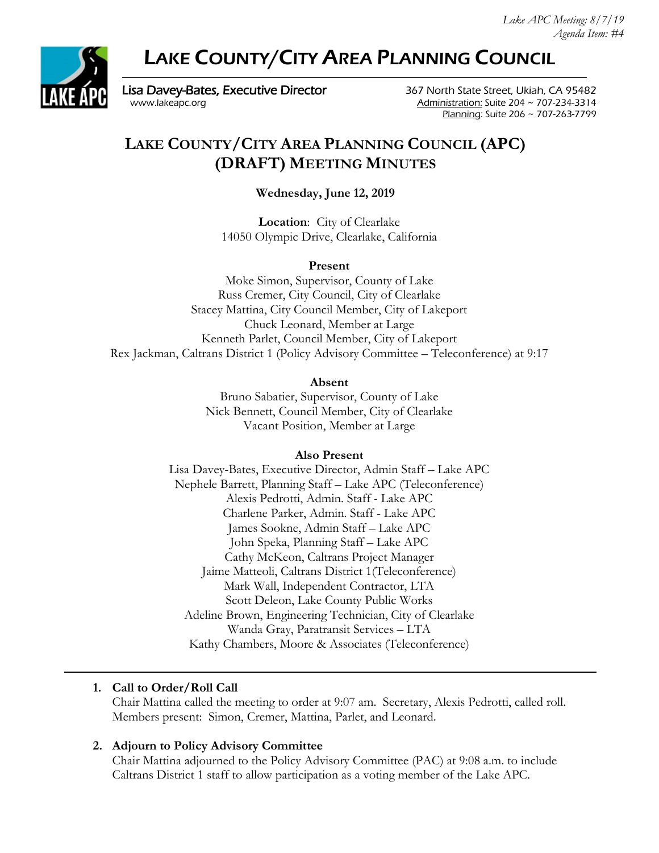# LAKE COUNTY/CITY AREA PLANNING COUNCIL



Lisa Davey-Bates, Executive Director 367 North State Street, Ukiah, CA 95482 [www.lakeapc.org](http://www.lakeapc.org/) Administration: Suite 204 ~ 707-234-3314

Planning: Suite 206 ~ 707-263-7799

# **LAKE COUNTY/CITY AREA PLANNING COUNCIL (APC) (DRAFT) MEETING MINUTES**

**Wednesday, June 12, 2019**

**Location**: City of Clearlake 14050 Olympic Drive, Clearlake, California

#### **Present**

Moke Simon, Supervisor, County of Lake Russ Cremer, City Council, City of Clearlake Stacey Mattina, City Council Member, City of Lakeport Chuck Leonard, Member at Large Kenneth Parlet, Council Member, City of Lakeport Rex Jackman, Caltrans District 1 (Policy Advisory Committee – Teleconference) at 9:17

#### **Absent**

Bruno Sabatier, Supervisor, County of Lake Nick Bennett, Council Member, City of Clearlake Vacant Position, Member at Large

#### **Also Present**

Lisa Davey-Bates, Executive Director, Admin Staff – Lake APC Nephele Barrett, Planning Staff – Lake APC (Teleconference) Alexis Pedrotti, Admin. Staff - Lake APC Charlene Parker, Admin. Staff - Lake APC James Sookne, Admin Staff – Lake APC John Speka, Planning Staff – Lake APC Cathy McKeon, Caltrans Project Manager Jaime Matteoli, Caltrans District 1(Teleconference) Mark Wall, Independent Contractor, LTA Scott Deleon, Lake County Public Works Adeline Brown, Engineering Technician, City of Clearlake Wanda Gray, Paratransit Services – LTA Kathy Chambers, Moore & Associates (Teleconference)

# **1. Call to Order/Roll Call**

Chair Mattina called the meeting to order at 9:07 am. Secretary, Alexis Pedrotti, called roll. Members present: Simon, Cremer, Mattina, Parlet, and Leonard.

#### **2. Adjourn to Policy Advisory Committee**

Chair Mattina adjourned to the Policy Advisory Committee (PAC) at 9:08 a.m. to include Caltrans District 1 staff to allow participation as a voting member of the Lake APC.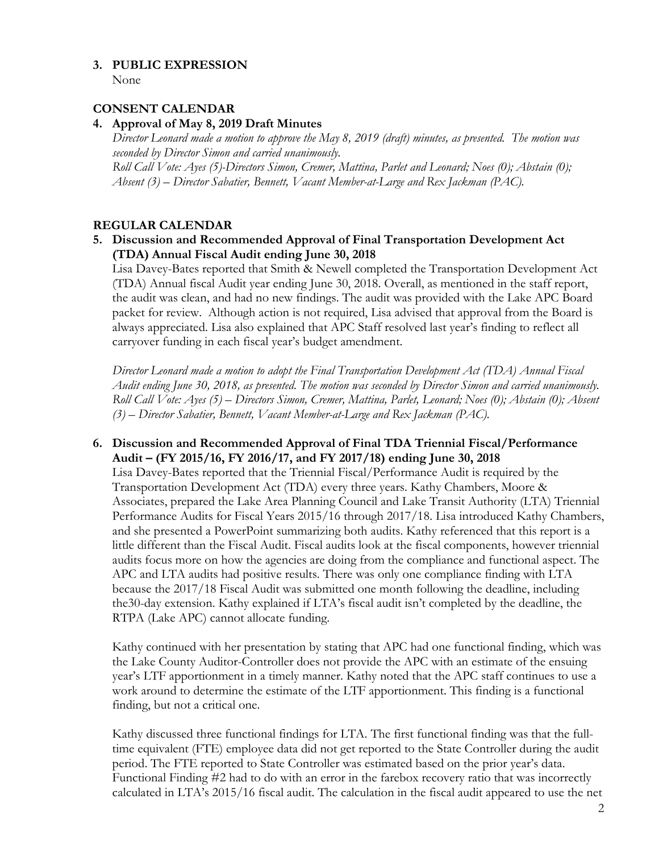# **3. PUBLIC EXPRESSION**

None

#### **CONSENT CALENDAR**

#### **4. Approval of May 8, 2019 Draft Minutes**

*Director Leonard made a motion to approve the May 8, 2019 (draft) minutes, as presented. The motion was seconded by Director Simon and carried unanimously. Roll Call Vote: Ayes (5)-Directors Simon, Cremer, Mattina, Parlet and Leonard; Noes (0); Abstain (0); Absent (3) – Director Sabatier, Bennett, Vacant Member-at-Large and Rex Jackman (PAC).*

# **REGULAR CALENDAR**

**5. Discussion and Recommended Approval of Final Transportation Development Act (TDA) Annual Fiscal Audit ending June 30, 2018** 

Lisa Davey-Bates reported that Smith & Newell completed the Transportation Development Act (TDA) Annual fiscal Audit year ending June 30, 2018. Overall, as mentioned in the staff report, the audit was clean, and had no new findings. The audit was provided with the Lake APC Board packet for review. Although action is not required, Lisa advised that approval from the Board is always appreciated. Lisa also explained that APC Staff resolved last year's finding to reflect all carryover funding in each fiscal year's budget amendment.

*Director Leonard made a motion to adopt the Final Transportation Development Act (TDA) Annual Fiscal Audit ending June 30, 2018, as presented. The motion was seconded by Director Simon and carried unanimously. Roll Call Vote: Ayes (5) – Directors Simon, Cremer, Mattina, Parlet, Leonard; Noes (0); Abstain (0); Absent (3) – Director Sabatier, Bennett, Vacant Member-at-Large and Rex Jackman (PAC).*

#### **6. Discussion and Recommended Approval of Final TDA Triennial Fiscal/Performance Audit – (FY 2015/16, FY 2016/17, and FY 2017/18) ending June 30, 2018**

Lisa Davey-Bates reported that the Triennial Fiscal/Performance Audit is required by the Transportation Development Act (TDA) every three years. Kathy Chambers, Moore & Associates, prepared the Lake Area Planning Council and Lake Transit Authority (LTA) Triennial Performance Audits for Fiscal Years 2015/16 through 2017/18. Lisa introduced Kathy Chambers, and she presented a PowerPoint summarizing both audits. Kathy referenced that this report is a little different than the Fiscal Audit. Fiscal audits look at the fiscal components, however triennial audits focus more on how the agencies are doing from the compliance and functional aspect. The APC and LTA audits had positive results. There was only one compliance finding with LTA because the 2017/18 Fiscal Audit was submitted one month following the deadline, including the30-day extension. Kathy explained if LTA's fiscal audit isn't completed by the deadline, the RTPA (Lake APC) cannot allocate funding.

Kathy continued with her presentation by stating that APC had one functional finding, which was the Lake County Auditor-Controller does not provide the APC with an estimate of the ensuing year's LTF apportionment in a timely manner. Kathy noted that the APC staff continues to use a work around to determine the estimate of the LTF apportionment. This finding is a functional finding, but not a critical one.

Kathy discussed three functional findings for LTA. The first functional finding was that the fulltime equivalent (FTE) employee data did not get reported to the State Controller during the audit period. The FTE reported to State Controller was estimated based on the prior year's data. Functional Finding #2 had to do with an error in the farebox recovery ratio that was incorrectly calculated in LTA's 2015/16 fiscal audit. The calculation in the fiscal audit appeared to use the net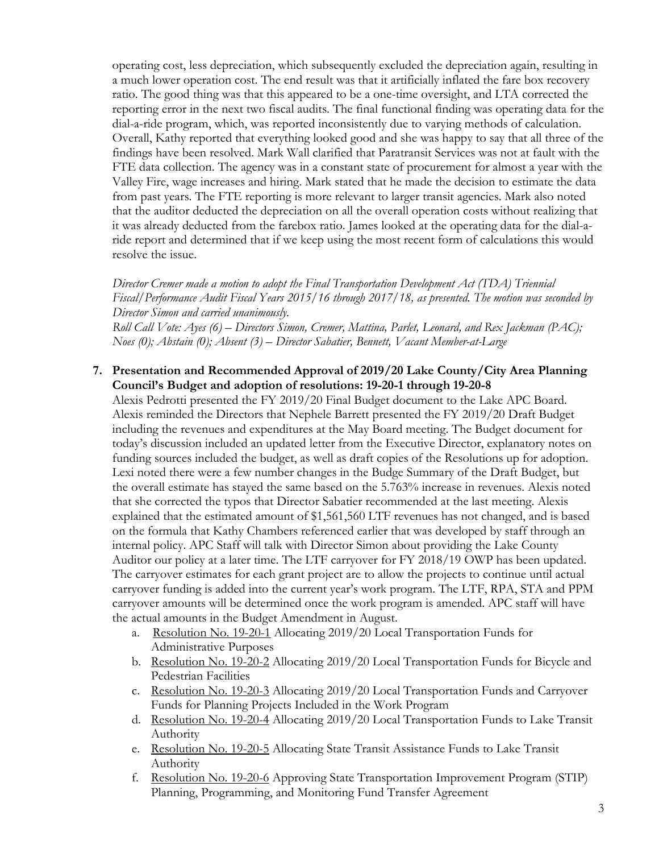operating cost, less depreciation, which subsequently excluded the depreciation again, resulting in a much lower operation cost. The end result was that it artificially inflated the fare box recovery ratio. The good thing was that this appeared to be a one-time oversight, and LTA corrected the reporting error in the next two fiscal audits. The final functional finding was operating data for the dial-a-ride program, which, was reported inconsistently due to varying methods of calculation. Overall, Kathy reported that everything looked good and she was happy to say that all three of the findings have been resolved. Mark Wall clarified that Paratransit Services was not at fault with the FTE data collection. The agency was in a constant state of procurement for almost a year with the Valley Fire, wage increases and hiring. Mark stated that he made the decision to estimate the data from past years. The FTE reporting is more relevant to larger transit agencies. Mark also noted that the auditor deducted the depreciation on all the overall operation costs without realizing that it was already deducted from the farebox ratio. James looked at the operating data for the dial-aride report and determined that if we keep using the most recent form of calculations this would resolve the issue.

*Director Cremer made a motion to adopt the Final Transportation Development Act (TDA) Triennial Fiscal/Performance Audit Fiscal Years 2015/16 through 2017/18, as presented. The motion was seconded by Director Simon and carried unanimously.* 

*Roll Call Vote: Ayes (6) – Directors Simon, Cremer, Mattina, Parlet, Leonard, and Rex Jackman (PAC); Noes (0); Abstain (0); Absent (3) – Director Sabatier, Bennett, Vacant Member-at-Large*

#### **7. Presentation and Recommended Approval of 2019/20 Lake County/City Area Planning Council's Budget and adoption of resolutions: 19-20-1 through 19-20-8**

Alexis Pedrotti presented the FY 2019/20 Final Budget document to the Lake APC Board. Alexis reminded the Directors that Nephele Barrett presented the FY 2019/20 Draft Budget including the revenues and expenditures at the May Board meeting. The Budget document for today's discussion included an updated letter from the Executive Director, explanatory notes on funding sources included the budget, as well as draft copies of the Resolutions up for adoption. Lexi noted there were a few number changes in the Budge Summary of the Draft Budget, but the overall estimate has stayed the same based on the 5.763% increase in revenues. Alexis noted that she corrected the typos that Director Sabatier recommended at the last meeting. Alexis explained that the estimated amount of \$1,561,560 LTF revenues has not changed, and is based on the formula that Kathy Chambers referenced earlier that was developed by staff through an internal policy. APC Staff will talk with Director Simon about providing the Lake County Auditor our policy at a later time. The LTF carryover for FY 2018/19 OWP has been updated. The carryover estimates for each grant project are to allow the projects to continue until actual carryover funding is added into the current year's work program. The LTF, RPA, STA and PPM carryover amounts will be determined once the work program is amended. APC staff will have the actual amounts in the Budget Amendment in August.

- a. Resolution No. 19-20-1 Allocating 2019/20 Local Transportation Funds for Administrative Purposes
- b. Resolution No. 19-20-2 Allocating 2019/20 Local Transportation Funds for Bicycle and Pedestrian Facilities
- c. Resolution No. 19-20-3 Allocating 2019/20 Local Transportation Funds and Carryover Funds for Planning Projects Included in the Work Program
- d. Resolution No. 19-20-4 Allocating 2019/20 Local Transportation Funds to Lake Transit Authority
- e. Resolution No. 19-20-5 Allocating State Transit Assistance Funds to Lake Transit Authority
- f. Resolution No. 19-20-6 Approving State Transportation Improvement Program (STIP) Planning, Programming, and Monitoring Fund Transfer Agreement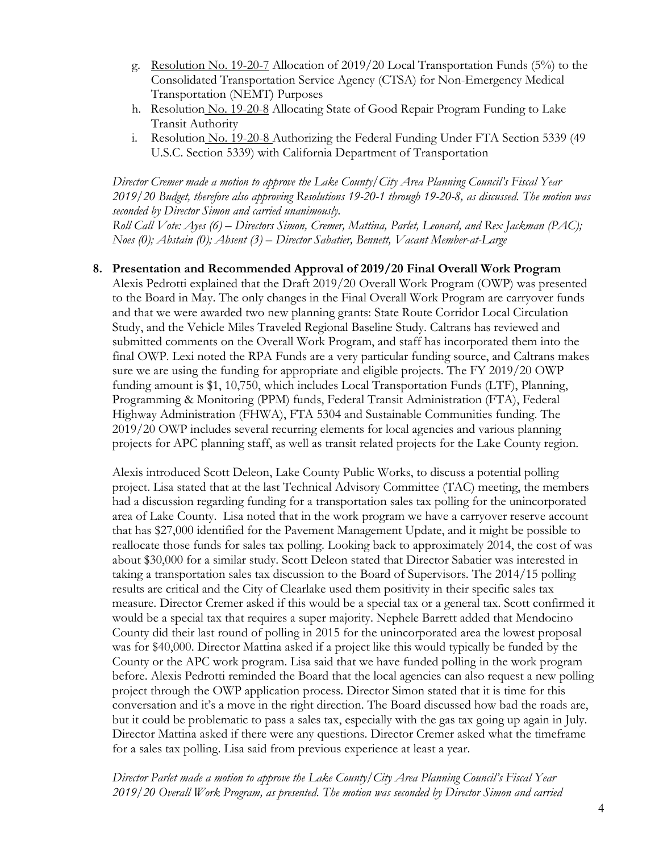- g. Resolution No. 19-20-7 Allocation of 2019/20 Local Transportation Funds (5%) to the Consolidated Transportation Service Agency (CTSA) for Non-Emergency Medical Transportation (NEMT) Purposes
- h. Resolution No. 19-20-8 Allocating State of Good Repair Program Funding to Lake Transit Authority
- i. Resolution No. 19-20-8 Authorizing the Federal Funding Under FTA Section 5339 (49 U.S.C. Section 5339) with California Department of Transportation

*Director Cremer made a motion to approve the Lake County/City Area Planning Council's Fiscal Year 2019/20 Budget, therefore also approving Resolutions 19-20-1 through 19-20-8, as discussed. The motion was seconded by Director Simon and carried unanimously.* 

*Roll Call Vote: Ayes (6) – Directors Simon, Cremer, Mattina, Parlet, Leonard, and Rex Jackman (PAC); Noes (0); Abstain (0); Absent (3) – Director Sabatier, Bennett, Vacant Member-at-Large*

#### **8. Presentation and Recommended Approval of 2019/20 Final Overall Work Program**

Alexis Pedrotti explained that the Draft 2019/20 Overall Work Program (OWP) was presented to the Board in May. The only changes in the Final Overall Work Program are carryover funds and that we were awarded two new planning grants: State Route Corridor Local Circulation Study, and the Vehicle Miles Traveled Regional Baseline Study. Caltrans has reviewed and submitted comments on the Overall Work Program, and staff has incorporated them into the final OWP. Lexi noted the RPA Funds are a very particular funding source, and Caltrans makes sure we are using the funding for appropriate and eligible projects. The FY 2019/20 OWP funding amount is \$1, 10,750, which includes Local Transportation Funds (LTF), Planning, Programming & Monitoring (PPM) funds, Federal Transit Administration (FTA), Federal Highway Administration (FHWA), FTA 5304 and Sustainable Communities funding. The 2019/20 OWP includes several recurring elements for local agencies and various planning projects for APC planning staff, as well as transit related projects for the Lake County region.

Alexis introduced Scott Deleon, Lake County Public Works, to discuss a potential polling project. Lisa stated that at the last Technical Advisory Committee (TAC) meeting, the members had a discussion regarding funding for a transportation sales tax polling for the unincorporated area of Lake County. Lisa noted that in the work program we have a carryover reserve account that has \$27,000 identified for the Pavement Management Update, and it might be possible to reallocate those funds for sales tax polling. Looking back to approximately 2014, the cost of was about \$30,000 for a similar study. Scott Deleon stated that Director Sabatier was interested in taking a transportation sales tax discussion to the Board of Supervisors. The 2014/15 polling results are critical and the City of Clearlake used them positivity in their specific sales tax measure. Director Cremer asked if this would be a special tax or a general tax. Scott confirmed it would be a special tax that requires a super majority. Nephele Barrett added that Mendocino County did their last round of polling in 2015 for the unincorporated area the lowest proposal was for \$40,000. Director Mattina asked if a project like this would typically be funded by the County or the APC work program. Lisa said that we have funded polling in the work program before. Alexis Pedrotti reminded the Board that the local agencies can also request a new polling project through the OWP application process. Director Simon stated that it is time for this conversation and it's a move in the right direction. The Board discussed how bad the roads are, but it could be problematic to pass a sales tax, especially with the gas tax going up again in July. Director Mattina asked if there were any questions. Director Cremer asked what the timeframe for a sales tax polling. Lisa said from previous experience at least a year.

*Director Parlet made a motion to approve the Lake County/City Area Planning Council's Fiscal Year 2019/20 Overall Work Program, as presented. The motion was seconded by Director Simon and carried*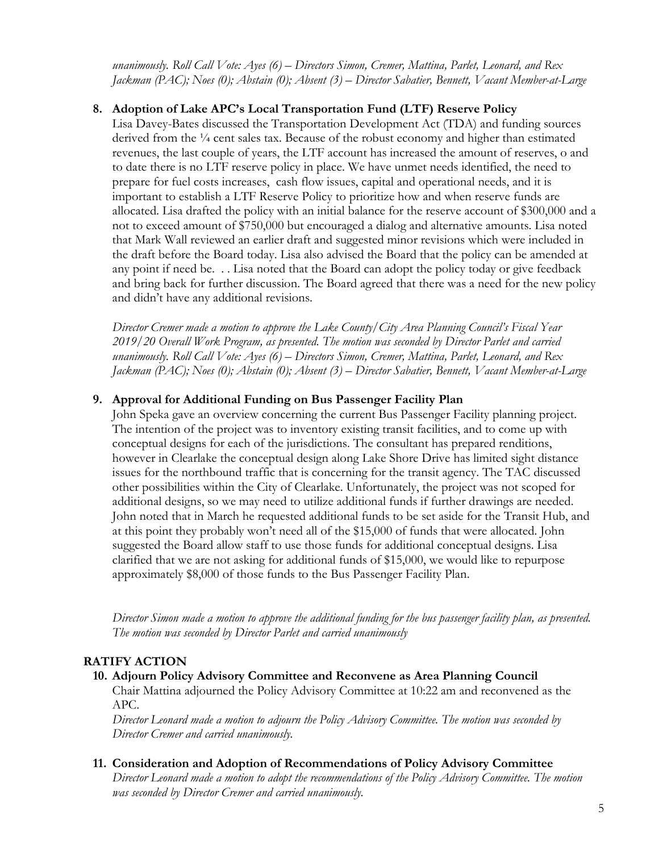*unanimously. Roll Call Vote: Ayes (6) – Directors Simon, Cremer, Mattina, Parlet, Leonard, and Rex Jackman (PAC); Noes (0); Abstain (0); Absent (3) – Director Sabatier, Bennett, Vacant Member-at-Large*

#### **8. Adoption of Lake APC's Local Transportation Fund (LTF) Reserve Policy**

Lisa Davey-Bates discussed the Transportation Development Act (TDA) and funding sources derived from the <sup>1</sup>/4 cent sales tax. Because of the robust economy and higher than estimated revenues, the last couple of years, the LTF account has increased the amount of reserves, o and to date there is no LTF reserve policy in place. We have unmet needs identified, the need to prepare for fuel costs increases, cash flow issues, capital and operational needs, and it is important to establish a LTF Reserve Policy to prioritize how and when reserve funds are allocated. Lisa drafted the policy with an initial balance for the reserve account of \$300,000 and a not to exceed amount of \$750,000 but encouraged a dialog and alternative amounts. Lisa noted that Mark Wall reviewed an earlier draft and suggested minor revisions which were included in the draft before the Board today. Lisa also advised the Board that the policy can be amended at any point if need be. . . Lisa noted that the Board can adopt the policy today or give feedback and bring back for further discussion. The Board agreed that there was a need for the new policy and didn't have any additional revisions.

*Director Cremer made a motion to approve the Lake County/City Area Planning Council's Fiscal Year 2019/20 Overall Work Program, as presented. The motion was seconded by Director Parlet and carried unanimously. Roll Call Vote: Ayes (6) – Directors Simon, Cremer, Mattina, Parlet, Leonard, and Rex Jackman (PAC); Noes (0); Abstain (0); Absent (3) – Director Sabatier, Bennett, Vacant Member-at-Large*

#### **9. Approval for Additional Funding on Bus Passenger Facility Plan**

John Speka gave an overview concerning the current Bus Passenger Facility planning project. The intention of the project was to inventory existing transit facilities, and to come up with conceptual designs for each of the jurisdictions. The consultant has prepared renditions, however in Clearlake the conceptual design along Lake Shore Drive has limited sight distance issues for the northbound traffic that is concerning for the transit agency. The TAC discussed other possibilities within the City of Clearlake. Unfortunately, the project was not scoped for additional designs, so we may need to utilize additional funds if further drawings are needed. John noted that in March he requested additional funds to be set aside for the Transit Hub, and at this point they probably won't need all of the \$15,000 of funds that were allocated. John suggested the Board allow staff to use those funds for additional conceptual designs. Lisa clarified that we are not asking for additional funds of \$15,000, we would like to repurpose approximately \$8,000 of those funds to the Bus Passenger Facility Plan.

*Director Simon made a motion to approve the additional funding for the bus passenger facility plan, as presented. The motion was seconded by Director Parlet and carried unanimously*

#### **RATIFY ACTION**

#### **10. Adjourn Policy Advisory Committee and Reconvene as Area Planning Council**

Chair Mattina adjourned the Policy Advisory Committee at 10:22 am and reconvened as the APC.

*Director Leonard made a motion to adjourn the Policy Advisory Committee. The motion was seconded by Director Cremer and carried unanimously.* 

#### **11. Consideration and Adoption of Recommendations of Policy Advisory Committee**

*Director Leonard made a motion to adopt the recommendations of the Policy Advisory Committee. The motion was seconded by Director Cremer and carried unanimously.*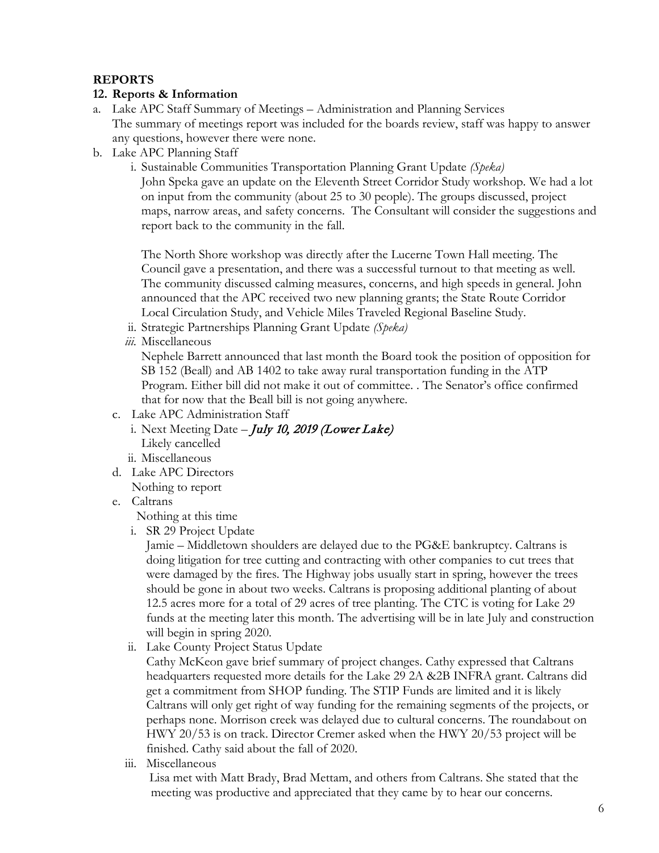#### **REPORTS**

#### **12. Reports & Information**

- a. Lake APC Staff Summary of Meetings Administration and Planning Services The summary of meetings report was included for the boards review, staff was happy to answer any questions, however there were none.
- b. Lake APC Planning Staff
	- i. Sustainable Communities Transportation Planning Grant Update *(Speka)*

John Speka gave an update on the Eleventh Street Corridor Study workshop. We had a lot on input from the community (about 25 to 30 people). The groups discussed, project maps, narrow areas, and safety concerns. The Consultant will consider the suggestions and report back to the community in the fall.

The North Shore workshop was directly after the Lucerne Town Hall meeting. The Council gave a presentation, and there was a successful turnout to that meeting as well. The community discussed calming measures, concerns, and high speeds in general. John announced that the APC received two new planning grants; the State Route Corridor Local Circulation Study, and Vehicle Miles Traveled Regional Baseline Study.

- ii. Strategic Partnerships Planning Grant Update *(Speka)*
- *iii.* Miscellaneous

Nephele Barrett announced that last month the Board took the position of opposition for SB 152 (Beall) and AB 1402 to take away rural transportation funding in the ATP Program. Either bill did not make it out of committee. . The Senator's office confirmed that for now that the Beall bill is not going anywhere.

- c. Lake APC Administration Staff
	- i. Next Meeting Date *July 10, 2019 (Lower Lake)* Likely cancelled
	- ii. Miscellaneous
- d. Lake APC Directors

Nothing to report

e. Caltrans

Nothing at this time

i. SR 29 Project Update

Jamie – Middletown shoulders are delayed due to the PG&E bankruptcy. Caltrans is doing litigation for tree cutting and contracting with other companies to cut trees that were damaged by the fires. The Highway jobs usually start in spring, however the trees should be gone in about two weeks. Caltrans is proposing additional planting of about 12.5 acres more for a total of 29 acres of tree planting. The CTC is voting for Lake 29 funds at the meeting later this month. The advertising will be in late July and construction will begin in spring 2020.

ii. Lake County Project Status Update

Cathy McKeon gave brief summary of project changes. Cathy expressed that Caltrans headquarters requested more details for the Lake 29 2A &2B INFRA grant. Caltrans did get a commitment from SHOP funding. The STIP Funds are limited and it is likely Caltrans will only get right of way funding for the remaining segments of the projects, or perhaps none. Morrison creek was delayed due to cultural concerns. The roundabout on HWY 20/53 is on track. Director Cremer asked when the HWY 20/53 project will be finished. Cathy said about the fall of 2020.

iii. Miscellaneous

Lisa met with Matt Brady, Brad Mettam, and others from Caltrans. She stated that the meeting was productive and appreciated that they came by to hear our concerns.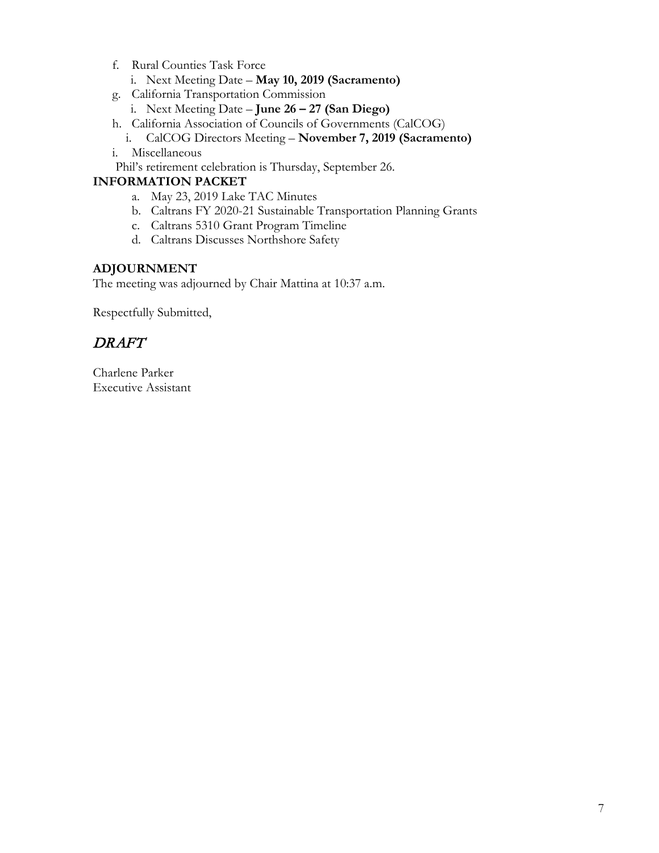- f. Rural Counties Task Force
	- i. Next Meeting Date **May 10, 2019 (Sacramento)**
- g. California Transportation Commission
	- i. Next Meeting Date **June 26 – 27 (San Diego)**
- h. California Association of Councils of Governments (CalCOG)
- i. CalCOG Directors Meeting **November 7, 2019 (Sacramento)**
- i. Miscellaneous

Phil's retirement celebration is Thursday, September 26.

## **INFORMATION PACKET**

- a. May 23, 2019 Lake TAC Minutes
- b. Caltrans FY 2020-21 Sustainable Transportation Planning Grants
- c. Caltrans 5310 Grant Program Timeline
- d. Caltrans Discusses Northshore Safety

#### **ADJOURNMENT**

The meeting was adjourned by Chair Mattina at 10:37 a.m.

Respectfully Submitted,

# DRAFT

Charlene Parker Executive Assistant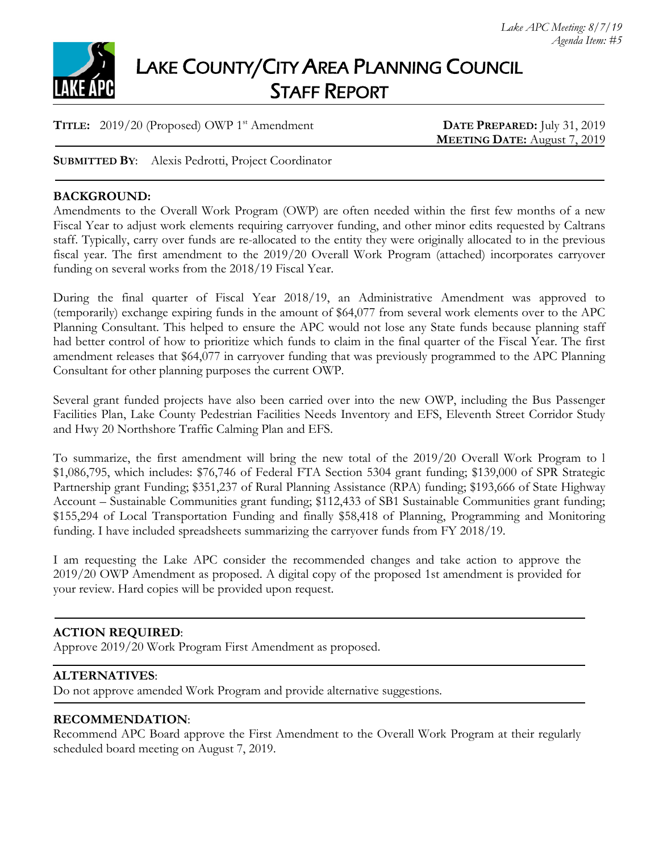

# LAKE COUNTY/CITY AREA PLANNING COUNCIL STAFF REPORT

**TITLE:** 2019/20 (Proposed) OWP 1<sup>st</sup> Amendment **DATE PREPARED:** July 31, 2019

**MEETING DATE:** August 7, 2019

**SUBMITTED BY**: Alexis Pedrotti, Project Coordinator

#### **BACKGROUND:**

Amendments to the Overall Work Program (OWP) are often needed within the first few months of a new Fiscal Year to adjust work elements requiring carryover funding, and other minor edits requested by Caltrans staff. Typically, carry over funds are re-allocated to the entity they were originally allocated to in the previous fiscal year. The first amendment to the 2019/20 Overall Work Program (attached) incorporates carryover funding on several works from the 2018/19 Fiscal Year.

During the final quarter of Fiscal Year 2018/19, an Administrative Amendment was approved to (temporarily) exchange expiring funds in the amount of \$64,077 from several work elements over to the APC Planning Consultant. This helped to ensure the APC would not lose any State funds because planning staff had better control of how to prioritize which funds to claim in the final quarter of the Fiscal Year. The first amendment releases that \$64,077 in carryover funding that was previously programmed to the APC Planning Consultant for other planning purposes the current OWP.

Several grant funded projects have also been carried over into the new OWP, including the Bus Passenger Facilities Plan, Lake County Pedestrian Facilities Needs Inventory and EFS, Eleventh Street Corridor Study and Hwy 20 Northshore Traffic Calming Plan and EFS.

To summarize, the first amendment will bring the new total of the 2019/20 Overall Work Program to l \$1,086,795, which includes: \$76,746 of Federal FTA Section 5304 grant funding; \$139,000 of SPR Strategic Partnership grant Funding; \$351,237 of Rural Planning Assistance (RPA) funding; \$193,666 of State Highway Account – Sustainable Communities grant funding; \$112,433 of SB1 Sustainable Communities grant funding; \$155,294 of Local Transportation Funding and finally \$58,418 of Planning, Programming and Monitoring funding. I have included spreadsheets summarizing the carryover funds from FY 2018/19.

I am requesting the Lake APC consider the recommended changes and take action to approve the 2019/20 OWP Amendment as proposed. A digital copy of the proposed 1st amendment is provided for your review. Hard copies will be provided upon request.

#### **ACTION REQUIRED**:

Approve 2019/20 Work Program First Amendment as proposed.

#### **ALTERNATIVES**:

Do not approve amended Work Program and provide alternative suggestions.

#### **RECOMMENDATION**:

Recommend APC Board approve the First Amendment to the Overall Work Program at their regularly scheduled board meeting on August 7, 2019.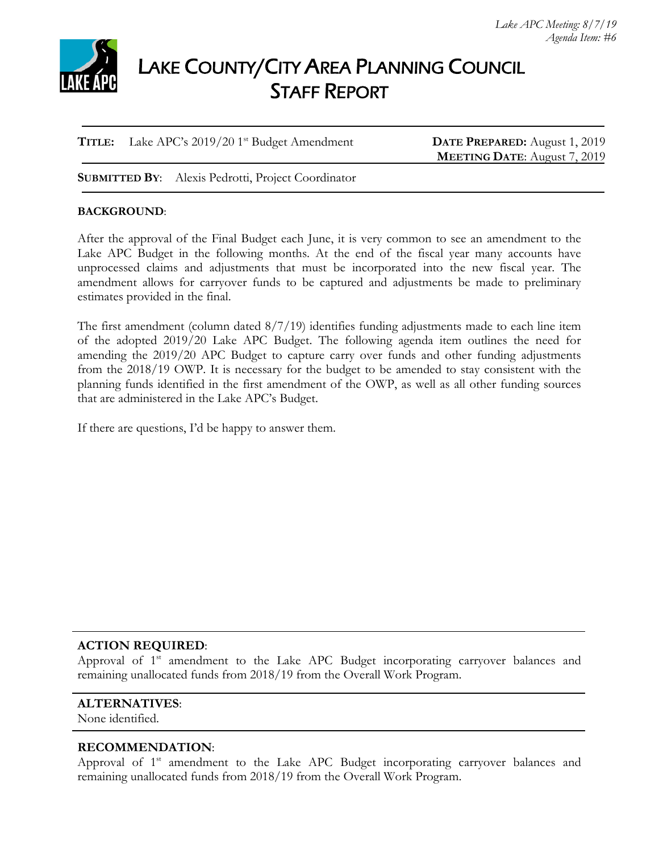

# LAKE COUNTY/CITY AREA PLANNING COUNCIL STAFF REPORT

**TITLE:** Lake APC's 2019/20 1<sup>st</sup> Budget Amendment **DATE PREPARED:** August 1, 2019

**MEETING DATE**: August 7, 2019

**SUBMITTED BY**: Alexis Pedrotti, Project Coordinator

#### **BACKGROUND**:

After the approval of the Final Budget each June, it is very common to see an amendment to the Lake APC Budget in the following months. At the end of the fiscal year many accounts have unprocessed claims and adjustments that must be incorporated into the new fiscal year. The amendment allows for carryover funds to be captured and adjustments be made to preliminary estimates provided in the final.

The first amendment (column dated 8/7/19) identifies funding adjustments made to each line item of the adopted 2019/20 Lake APC Budget. The following agenda item outlines the need for amending the 2019/20 APC Budget to capture carry over funds and other funding adjustments from the 2018/19 OWP. It is necessary for the budget to be amended to stay consistent with the planning funds identified in the first amendment of the OWP, as well as all other funding sources that are administered in the Lake APC's Budget.

If there are questions, I'd be happy to answer them.

#### **ACTION REQUIRED**:

Approval of 1<sup>st</sup> amendment to the Lake APC Budget incorporating carryover balances and remaining unallocated funds from 2018/19 from the Overall Work Program.

#### **ALTERNATIVES**:

None identified.

#### **RECOMMENDATION**:

Approval of 1<sup>st</sup> amendment to the Lake APC Budget incorporating carryover balances and remaining unallocated funds from 2018/19 from the Overall Work Program.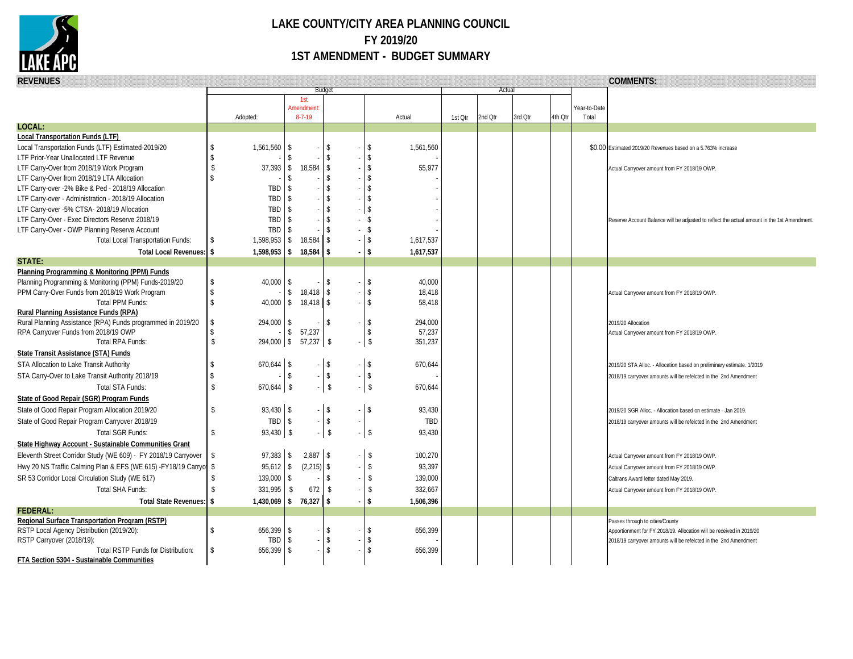

## **LAKE COUNTY/CITY AREA PLANNING COUNCIL FY 2019/20 1ST AMENDMENT - BUDGET SUMMARY**

| <b>REVENUES</b>                                                   |                     |                        |                           |                          |  |                         |           | <b>COMMENTS:</b> |         |         |         |              |                                                                                                         |
|-------------------------------------------------------------------|---------------------|------------------------|---------------------------|--------------------------|--|-------------------------|-----------|------------------|---------|---------|---------|--------------|---------------------------------------------------------------------------------------------------------|
|                                                                   |                     |                        |                           | Budget                   |  |                         |           |                  | Actual  |         |         |              |                                                                                                         |
|                                                                   |                     |                        | 1st<br><b>Amendment</b>   |                          |  |                         |           |                  |         |         |         | Year-to-Date |                                                                                                         |
|                                                                   |                     | Adopted:               | $8 - 7 - 19$              |                          |  |                         | Actual    | 1st Qtr          | 2nd Otr | 3rd Qtr | 4th Otr | Total        |                                                                                                         |
| LOCAL:                                                            |                     |                        |                           |                          |  |                         |           |                  |         |         |         |              |                                                                                                         |
| <b>Local Transportation Funds (LTF)</b>                           |                     |                        |                           |                          |  |                         |           |                  |         |         |         |              |                                                                                                         |
| Local Transportation Funds (LTF) Estimated-2019/20                | \$                  | $1,561,560$   \$       |                           | -S                       |  | <b>S</b>                | 1,561,560 |                  |         |         |         |              | \$0.00 Estimated 2019/20 Revenues based on a 5.763% increase                                            |
| LTF Prior-Year Unallocated LTF Revenue                            | $\mathsf{\$}$       |                        | -¢                        |                          |  | $\mathcal{S}$           |           |                  |         |         |         |              |                                                                                                         |
| LTF Carry-Over from 2018/19 Work Program                          | $\mathbb{S}$        |                        | 37,393 \$ 18,584          | $\mathbb{S}$             |  | $\mathsf{\$}$           | 55,977    |                  |         |         |         |              | Actual Carryover amount from FY 2018/19 OWP                                                             |
| LTF Carry-Over from 2018/19 LTA Allocation                        | $\hat{\mathcal{L}}$ |                        | <sup>\$</sup>             |                          |  | $\mathsf{\$}$           |           |                  |         |         |         |              |                                                                                                         |
| LTF Carry-over -2% Bike & Ped - 2018/19 Allocation                |                     | TBD                    | -S                        | ፍ                        |  | $\mathbf{\hat{S}}$      |           |                  |         |         |         |              |                                                                                                         |
| LTF Carry-over - Administration - 2018/19 Allocation              |                     | TBD                    | l\$                       | <sup>\$</sup>            |  | $\sqrt{3}$              |           |                  |         |         |         |              |                                                                                                         |
| LTF Carry-over -5% CTSA- 2018/19 Allocation                       |                     | TBD                    | $\sqrt{3}$                |                          |  | \$                      |           |                  |         |         |         |              |                                                                                                         |
| LTF Carry-Over - Exec Directors Reserve 2018/19                   |                     | TBD                    | $\mathsf{S}$              | $\mathbf{\hat{S}}$       |  | $-5$                    |           |                  |         |         |         |              | Reserve Account Balance will be adjusted to reflect the actual amount in the 1st Amendment              |
| LTF Carry-Over - OWP Planning Reserve Account                     |                     | TBD                    | -\$                       |                          |  | $-$ \$                  |           |                  |         |         |         |              |                                                                                                         |
| <b>Total Local Transportation Funds:</b>                          | <sup>\$</sup>       | 1,598,953 \$ 18,584    |                           | <b>S</b>                 |  | $-1$ \$                 | 1,617,537 |                  |         |         |         |              |                                                                                                         |
| <b>Total Local Revenues:</b><br><b>STATE:</b>                     | \$                  | $1,598,953$ \$         | 18,584                    | $\overline{\phantom{a}}$ |  | <b>S</b>                | 1,617,537 |                  |         |         |         |              |                                                                                                         |
| Planning Programming & Monitoring (PPM) Funds                     |                     |                        |                           |                          |  |                         |           |                  |         |         |         |              |                                                                                                         |
| Planning Programming & Monitoring (PPM) Funds-2019/20             | \$                  | 40.000                 | l \$                      | $\mathbf{\hat{S}}$       |  | $\mathcal{S}$           | 40,000    |                  |         |         |         |              |                                                                                                         |
| PPM Carry-Over Funds from 2018/19 Work Program                    | $\mathbf{\hat{S}}$  |                        | $$18,418$ \ \$            |                          |  | $\mathsf{\$}$           | 18,418    |                  |         |         |         |              | Actual Carryover amount from FY 2018/19 OWP                                                             |
| Total PPM Funds:                                                  | $\mathsf{\$}$       |                        | $40,000$   \$ 18,418   \$ |                          |  | \$                      | 58,418    |                  |         |         |         |              |                                                                                                         |
| Rural Planning Assistance Funds (RPA)                             |                     |                        |                           |                          |  |                         |           |                  |         |         |         |              |                                                                                                         |
| Rural Planning Assistance (RPA) Funds programmed in 2019/20       | \$                  | $294,000$ \$           |                           | $\mathsf{\$}$            |  | $\mathsf{\$}$           | 294,000   |                  |         |         |         |              | 2019/20 Allocation                                                                                      |
| RPA Carryover Funds from 2018/19 OWP                              | $\mathbf{\hat{S}}$  |                        | 57,237<br>$\mathcal{S}$   |                          |  | $\mathsf{\$}$           | 57,237    |                  |         |         |         |              | Actual Carryover amount from FY 2018/19 OWP                                                             |
| Total RPA Funds:                                                  | $\sqrt[6]{3}$       | $294,000$ \$ 57,237 \$ |                           |                          |  | $\sqrt{ }$              | 351,237   |                  |         |         |         |              |                                                                                                         |
| State Transit Assistance (STA) Funds                              |                     |                        |                           |                          |  |                         |           |                  |         |         |         |              |                                                                                                         |
| STA Allocation to Lake Transit Authority                          | <sup>\$</sup>       | $670,644$ \\$          |                           | $\mathbb{S}$             |  | $-$ \$                  | 670,644   |                  |         |         |         |              | 2019/20 STA Alloc. - Allocation based on preliminary estimate. 1/2019                                   |
| STA Carry-Over to Lake Transit Authority 2018/19                  | Ŝ.                  |                        | l \$                      | $-5$                     |  | $-$ \$                  |           |                  |         |         |         |              | 2018/19 carryover amounts will be refelcted in the 2nd Amendment                                        |
| <b>Total STA Funds:</b>                                           | $\mathbf{\hat{S}}$  | $670,644$ \$           |                           | $\mathsf{\$}$            |  | $\overline{\mathbf{s}}$ | 670,644   |                  |         |         |         |              |                                                                                                         |
| State of Good Repair (SGR) Program Funds                          |                     |                        |                           |                          |  |                         |           |                  |         |         |         |              |                                                                                                         |
| State of Good Repair Program Allocation 2019/20                   | $\mathbb{S}$        | 93,430 \$              |                           | $-$ \$                   |  | $-$ \$                  | 93,430    |                  |         |         |         |              | 2019/20 SGR Alloc. - Allocation based on estimate - Jan 2019.                                           |
| State of Good Repair Program Carryover 2018/19                    |                     | TBD \$                 |                           | $-$ \$                   |  |                         | TBD       |                  |         |         |         |              | 2018/19 carryover amounts will be refelcted in the 2nd Amendment                                        |
| Total SGR Funds:                                                  | $\mathbb{S}$        | $93,430$ \$            |                           | $\mathsf{\$}$<br>$-1$    |  | l s                     | 93,430    |                  |         |         |         |              |                                                                                                         |
| State Highway Account - Sustainable Communities Grant             |                     |                        |                           |                          |  |                         |           |                  |         |         |         |              |                                                                                                         |
| Eleventh Street Corridor Study (WE 609) - FY 2018/19 Carryover    | $\sqrt[6]{3}$       | $97,383$ \$            | $2,887$ \$                |                          |  | $\sqrt{S}$              | 100,270   |                  |         |         |         |              | Actual Carryover amount from FY 2018/19 OWP.                                                            |
| Hwy 20 NS Traffic Calming Plan & EFS (WE 615) -FY18/19 Carryon \$ |                     | $95,612$ \$            | $(2,215)$ \$              |                          |  | -\$                     | 93,397    |                  |         |         |         |              |                                                                                                         |
|                                                                   | $\sqrt[6]{3}$       |                        |                           | \$                       |  | \$                      |           |                  |         |         |         |              | Actual Carryover amount from FY 2018/19 OWP.                                                            |
| SR 53 Corridor Local Circulation Study (WE 617)                   |                     | $139,000$ \$           |                           |                          |  |                         | 139,000   |                  |         |         |         |              | Caltrans Award letter dated May 2019.                                                                   |
| Total SHA Funds:                                                  | $\mathbf{\hat{S}}$  | 331,995                | \$<br>672                 | -S                       |  | $\mathbb{S}$            | 332,667   |                  |         |         |         |              | Actual Carryover amount from FY 2018/19 OWP                                                             |
| <b>Total State Revenues:</b>                                      | \$                  | 1,430,069 \$ 76,327 \$ |                           |                          |  | $\overline{\mathbf{s}}$ | 1,506,396 |                  |         |         |         |              |                                                                                                         |
| <b>FEDERAL:</b><br>Regional Surface Transportation Program (RSTP) |                     |                        |                           |                          |  |                         |           |                  |         |         |         |              |                                                                                                         |
| RSTP Local Agency Distribution (2019/20):                         | <sup>\$</sup>       | $656,399$ \$           |                           | $\mathbb{S}$             |  | \$                      | 656,399   |                  |         |         |         |              | Passes through to cities/County<br>Apportionment for FY 2018/19. Allocation will be received in 2019/20 |
| RSTP Carryover (2018/19):                                         |                     | TBD                    | $\sqrt{S}$                | $\mathbb{S}$             |  | \$                      |           |                  |         |         |         |              | 2018/19 carryover amounts will be refelcted in the 2nd Amendment                                        |
| <b>Total RSTP Funds for Distribution:</b>                         | $\mathbf{\hat{S}}$  | $656,399$ \$           |                           | $\mathbb{S}$             |  | $\mathcal{S}$           | 656,399   |                  |         |         |         |              |                                                                                                         |
| FTA Section 5304 - Sustainable Communities                        |                     |                        |                           |                          |  |                         |           |                  |         |         |         |              |                                                                                                         |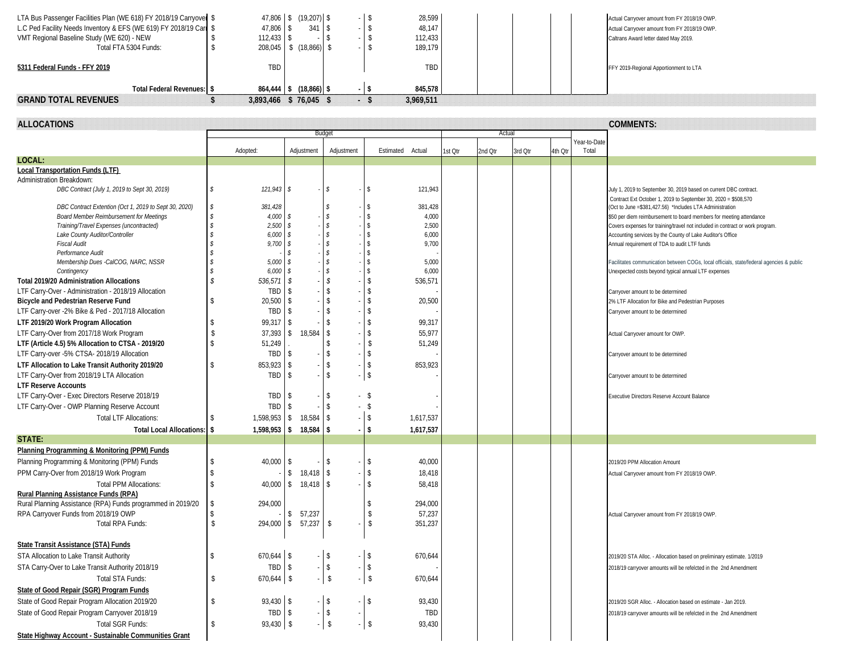| LTA Bus Passenger Facilities Plan (WE 618) FY 2018/19 Carryover \$                                      |                            | 47,806 \$ (19,207) \$                  |                                     | \$                       | 28,599           |         |         |         |         |                       | Actual Carryover amount from FY 2018/19 OWP.                                                                                     |
|---------------------------------------------------------------------------------------------------------|----------------------------|----------------------------------------|-------------------------------------|--------------------------|------------------|---------|---------|---------|---------|-----------------------|----------------------------------------------------------------------------------------------------------------------------------|
| L.C Ped Facility Needs Inventory & EFS (WE 619) FY 2018/19 Carr \$                                      | 47,806                     | \$<br>341                              | \$                                  | \$                       | 48,147           |         |         |         |         |                       | Actual Carryover amount from FY 2018/19 OWP.                                                                                     |
| VMT Regional Baseline Study (WE 620) - NEW                                                              | 112,433                    | \$                                     | s.<br>$\overline{\phantom{a}}$      | \$                       | 112,433          |         |         |         |         |                       | Caltrans Award letter dated May 2019.                                                                                            |
| Total FTA 5304 Funds:                                                                                   | Ĵ.<br>208,045              | $$ (18,866)$ \ \$                      |                                     | \$                       | 189,179          |         |         |         |         |                       |                                                                                                                                  |
| 5311 Federal Funds - FFY 2019                                                                           | TBD                        |                                        |                                     |                          | TBD              |         |         |         |         |                       | FFY 2019-Regional Apportionment to LTA                                                                                           |
| Total Federal Revenues: \$                                                                              |                            | $864,444$ \$ $(18,866)$ \$             |                                     | $-1$ \$                  | 845,578          |         |         |         |         |                       |                                                                                                                                  |
| <b>GRAND TOTAL REVENUES</b>                                                                             | s.                         | 3,893,466 \$76,045 \$                  |                                     | $-5$                     | 3,969,511        |         |         |         |         |                       |                                                                                                                                  |
|                                                                                                         |                            |                                        |                                     |                          |                  |         |         |         |         |                       |                                                                                                                                  |
| <b>ALLOCATIONS</b>                                                                                      |                            |                                        |                                     |                          |                  |         |         |         |         |                       | <b>COMMENTS:</b>                                                                                                                 |
|                                                                                                         |                            |                                        | Budget                              |                          |                  |         | Actua   |         |         |                       |                                                                                                                                  |
|                                                                                                         | Adopted:                   | Adjustment                             | Adjustment                          | Estimated                | Actual           | 1st Qtr | 2nd Otr | 3rd Qtr | 4th Otr | Year-to-Date<br>Total |                                                                                                                                  |
| LOCAL:                                                                                                  |                            |                                        |                                     |                          |                  |         |         |         |         |                       |                                                                                                                                  |
| Local Transportation Funds (LTF)                                                                        |                            |                                        |                                     |                          |                  |         |         |         |         |                       |                                                                                                                                  |
| Administration Breakdown:                                                                               |                            |                                        |                                     |                          |                  |         |         |         |         |                       |                                                                                                                                  |
| DBC Contract (July 1, 2019 to Sept 30, 2019)                                                            | 121,943<br>S               | \$                                     | Ŝ.                                  | -S                       | 121,943          |         |         |         |         |                       | July 1, 2019 to September 30, 2019 based on current DBC contract.                                                                |
|                                                                                                         | 381,428<br>s.              |                                        |                                     | -S                       |                  |         |         |         |         |                       | Contract Ext October 1, 2019 to September 30, 2020 = \$508,570                                                                   |
| DBC Contract Extention (Oct 1, 2019 to Sept 30, 2020)<br><b>Board Member Reimbursement for Meetings</b> | 4,000                      | \$                                     | Ŝ.                                  | $\mathbf{\hat{S}}$       | 381,428<br>4,000 |         |         |         |         |                       | (Oct to June = \$381,427.56) *Includes LTA Administration<br>\$50 per diem reimbursement to board members for meeting attendance |
| Training/Travel Expenses (uncontracted)                                                                 | 2,500                      | \$                                     | $\mathcal{S}$                       | -\$                      | 2,500            |         |         |         |         |                       | Covers expenses for training/travel not included in contract or work program.                                                    |
| Lake County Auditor/Controller                                                                          | 6,000                      | \$                                     | $\hat{\mathbf{s}}$                  | $\mathbf{\hat{s}}$       | 6,000            |         |         |         |         |                       | Accounting services by the County of Lake Auditor's Office                                                                       |
| <b>Fiscal Audit</b>                                                                                     | 9,700                      | \$                                     | $\mathcal{S}$                       | s.                       | 9,700            |         |         |         |         |                       | Annual requirement of TDA to audit LTF funds                                                                                     |
| Performance Audit                                                                                       |                            | \$                                     | $\hat{\mathbf{s}}$                  | \$                       |                  |         |         |         |         |                       |                                                                                                                                  |
| Membership Dues -CalCOG, NARC, NSSR                                                                     | 5,000                      | s.<br>s.                               | $\mathcal{S}$<br>$\hat{\mathbf{s}}$ | \$<br>$\mathbf{\hat{S}}$ | 5,000            |         |         |         |         |                       | Facilitates communication between COGs, local officials, state/federal agencies & public                                         |
| Contingency<br><b>Total 2019/20 Administration Allocations</b>                                          | 6,000<br>536,571           | \$                                     | $\mathcal{S}$                       | \$                       | 6,000<br>536,571 |         |         |         |         |                       | Unexpected costs beyond typical annual LTF expenses                                                                              |
| LTF Carry-Over - Administration - 2018/19 Allocation                                                    | TBD                        | <sup>\$</sup>                          | <sup>\$</sup>                       | \$                       |                  |         |         |         |         |                       | Carryover amount to be determined                                                                                                |
| Bicycle and Pedestrian Reserve Fund                                                                     | 20,500                     | -S                                     | \$                                  | \$                       | 20,500           |         |         |         |         |                       | 2% LTF Allocation for Bike and Pedestrian Purposes                                                                               |
| LTF Carry-over -2% Bike & Ped - 2017/18 Allocation                                                      | TBD                        | \$                                     | <sup>\$</sup>                       | \$                       |                  |         |         |         |         |                       | Carryover amount to be determined                                                                                                |
| LTF 2019/20 Work Program Allocation                                                                     | 99,317                     | <sup>\$</sup>                          | $\mathbf{\hat{S}}$                  | $\mathbf S$              | 99,317           |         |         |         |         |                       |                                                                                                                                  |
| LTF Carry-Over from 2017/18 Work Program                                                                | 37,393                     | 18,584<br>\$                           | \$                                  | \$                       | 55,977           |         |         |         |         |                       | Actual Carryover amount for OWP.                                                                                                 |
| LTF (Article 4.5) 5% Allocation to CTSA - 2019/20                                                       | 51,249                     |                                        | <sup>\$</sup>                       | \$                       | 51,249           |         |         |         |         |                       |                                                                                                                                  |
| LTF Carry-over -5% CTSA- 2018/19 Allocation                                                             | TBD                        | \$                                     | $\mathbf{\hat{S}}$                  | $\mathbf{\hat{S}}$       |                  |         |         |         |         |                       | Carryover amount to be determined                                                                                                |
| LTF Allocation to Lake Transit Authority 2019/20                                                        | 853,923                    | \$                                     | \$                                  | \$                       | 853,923          |         |         |         |         |                       |                                                                                                                                  |
| LTF Carry-Over from 2018/19 LTA Allocation                                                              | TBD                        | <sup>\$</sup>                          | $\mathbf{\hat{S}}$                  | \$                       |                  |         |         |         |         |                       | Carryover amount to be determined                                                                                                |
| <b>LTF Reserve Accounts</b>                                                                             |                            |                                        |                                     |                          |                  |         |         |         |         |                       |                                                                                                                                  |
| LTF Carry-Over - Exec Directors Reserve 2018/19                                                         | TBD                        | -S                                     | -S                                  | - \$                     |                  |         |         |         |         |                       | Executive Directors Reserve Account Balance                                                                                      |
| LTF Carry-Over - OWP Planning Reserve Account                                                           | TBD                        | \$                                     | $\mathbf{\hat{S}}$                  | $-$ \$                   |                  |         |         |         |         |                       |                                                                                                                                  |
| <b>Total LTF Allocations:</b>                                                                           | 1,598,953                  | 18,584<br>\$                           | -\$                                 | $-$ \$                   | 1,617,537        |         |         |         |         |                       |                                                                                                                                  |
| Total Local Allocations: \$                                                                             | 1,598,953                  | 18,584<br><b>\$</b>                    | -S<br>$\sim$                        | \$                       | 1,617,537        |         |         |         |         |                       |                                                                                                                                  |
| STATE:                                                                                                  |                            |                                        |                                     |                          |                  |         |         |         |         |                       |                                                                                                                                  |
| Planning Programming & Monitoring (PPM) Funds                                                           |                            |                                        |                                     |                          |                  |         |         |         |         |                       |                                                                                                                                  |
| Planning Programming & Monitoring (PPM) Funds                                                           | 40,000                     | \$                                     | -S                                  | \$                       | 40,000           |         |         |         |         |                       | 2019/20 PPM Allocation Amount                                                                                                    |
| PPM Carry-Over from 2018/19 Work Program                                                                |                            | $18,418$ \$<br>\$                      |                                     | \$                       | 18,418           |         |         |         |         |                       | Actual Carryover amount from FY 2018/19 OWP.                                                                                     |
| <b>Total PPM Allocations:</b>                                                                           | 40,000                     | \$ 18,418                              | l \$                                | \$                       | 58,418           |         |         |         |         |                       |                                                                                                                                  |
| Rural Planning Assistance Funds (RPA)                                                                   |                            |                                        |                                     |                          |                  |         |         |         |         |                       |                                                                                                                                  |
| Rural Planning Assistance (RPA) Funds programmed in 2019/20                                             | 294,000<br><b>\$</b>       |                                        |                                     | \$                       | 294,000          |         |         |         |         |                       |                                                                                                                                  |
| RPA Carryover Funds from 2018/19 OWP                                                                    |                            | \$57,237                               |                                     | \$                       | 57,237           |         |         |         |         |                       | Actual Carryover amount from FY 2018/19 OWP.                                                                                     |
| Total RPA Funds:                                                                                        | \$                         | $294,000$ \$ 57,237 \$                 |                                     | \$                       | 351,237          |         |         |         |         |                       |                                                                                                                                  |
|                                                                                                         |                            |                                        |                                     |                          |                  |         |         |         |         |                       |                                                                                                                                  |
| State Transit Assistance (STA) Funds                                                                    |                            |                                        |                                     |                          |                  |         |         |         |         |                       |                                                                                                                                  |
| STA Allocation to Lake Transit Authority                                                                | 670,644 \$                 |                                        | -\$                                 | \$                       | 670,644          |         |         |         |         |                       | 2019/20 STA Alloc. - Allocation based on preliminary estimate. 1/2019                                                            |
| STA Carry-Over to Lake Transit Authority 2018/19                                                        | TBD \$                     |                                        | \$                                  | \$                       |                  |         |         |         |         |                       | 2018/19 carryover amounts will be refelcted in the 2nd Amendment                                                                 |
| Total STA Funds:                                                                                        | 670,644 \$<br>S            |                                        | $\sqrt{2}$                          | $-$ \$                   | 670,644          |         |         |         |         |                       |                                                                                                                                  |
| State of Good Repair (SGR) Program Funds                                                                |                            |                                        |                                     |                          |                  |         |         |         |         |                       |                                                                                                                                  |
| State of Good Repair Program Allocation 2019/20                                                         | 93,430 \$<br><sup>\$</sup> |                                        | \$                                  | $-1$ \$                  | 93,430           |         |         |         |         |                       | 2019/20 SGR Alloc. - Allocation based on estimate - Jan 2019.                                                                    |
| State of Good Repair Program Carryover 2018/19                                                          | TBD                        | $\vert$ \$<br>$\overline{\phantom{a}}$ | $\sqrt[6]{\frac{1}{2}}$<br>$\sim$   |                          | TBD              |         |         |         |         |                       | 2018/19 carryover amounts will be refelcted in the 2nd Amendment                                                                 |
| Total SGR Funds:                                                                                        | $93,430$ \$<br>\$          |                                        | $\sqrt{2}$                          | $-$ \$                   | 93,430           |         |         |         |         |                       |                                                                                                                                  |
| State Highway Account - Sustainable Communities Grant                                                   |                            |                                        |                                     |                          |                  |         |         |         |         |                       |                                                                                                                                  |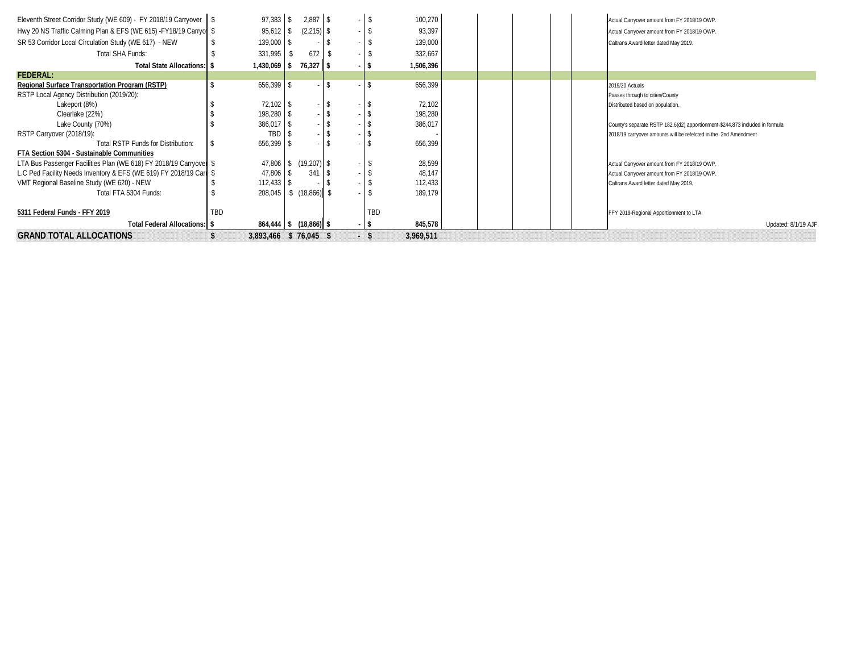| Eleventh Street Corridor Study (WE 609) - FY 2018/19 Carryover \\$ | $97,383$ \$     | 2,887                         | \$   | 100,270   | Actual Carryover amount from FY 2018/19 OWP.                                 |
|--------------------------------------------------------------------|-----------------|-------------------------------|------|-----------|------------------------------------------------------------------------------|
| Hwy 20 NS Traffic Calming Plan & EFS (WE 615) - FY18/19 Carryon \$ | $95,612$ \$     | $(2,215)$ \$                  |      | 93,397    | Actual Carryover amount from FY 2018/19 OWP.                                 |
| SR 53 Corridor Local Circulation Study (WE 617) - NEW              | $139,000$ \$    |                               |      | 139,000   | Caltrans Award letter dated May 2019.                                        |
| Total SHA Funds:                                                   | 331,995         | 672                           |      | 332,667   |                                                                              |
| Total State Allocations:   \$                                      | 1,430,069 \$    | $76,327$ \$                   |      | 1,506,396 |                                                                              |
| <b>FEDERAL:</b>                                                    |                 |                               |      |           |                                                                              |
| <b>Regional Surface Transportation Program (RSTP)</b>              | $656,399$ \$    |                               |      | 656,399   | 2019/20 Actuals                                                              |
| RSTP Local Agency Distribution (2019/20):                          |                 |                               |      |           | Passes through to cities/County                                              |
| Lakeport (8%)                                                      | $72,102$ \ \$   |                               |      | 72,102    | Distributed based on population.                                             |
| Clearlake (22%)                                                    | 198,280 \$      |                               |      | 198,280   |                                                                              |
| Lake County (70%)                                                  | $386,017$ \$    |                               |      | 386,017   | County's separate RSTP 182.6(d2) apportionment-\$244,873 included in formula |
| RSTP Carryover (2018/19):                                          | TBD             |                               |      |           | 2018/19 carryover amounts will be refelcted in the 2nd Amendment             |
| Total RSTP Funds for Distribution:                                 | $656,399$ \$    |                               |      | 656,399   |                                                                              |
| FTA Section 5304 - Sustainable Communities                         |                 |                               |      |           |                                                                              |
| LTA Bus Passenger Facilities Plan (WE 618) FY 2018/19 Carryover \$ |                 | $47,806$   \$ $(19,207)$   \$ |      | 28,599    | Actual Carryover amount from FY 2018/19 OWP.                                 |
| L.C Ped Facility Needs Inventory & EFS (WE 619) FY 2018/19 Carr \$ | $47,806$ \ \ \$ | 341                           |      | 48,147    | Actual Carryover amount from FY 2018/19 OWP.                                 |
| VMT Regional Baseline Study (WE 620) - NEW                         | 112,433         | -S                            |      | 112,433   | Caltrans Award letter dated May 2019.                                        |
| Total FTA 5304 Funds:                                              | 208,045         | \$(18, 866)                   |      | 189,179   |                                                                              |
| 5311 Federal Funds - FFY 2019                                      | TBD             |                               | TBD  |           | FFY 2019-Regional Apportionment to LTA                                       |
| Total Federal Allocations: \ \$                                    |                 | $864,444$ \$ $(18,866)$ \$    | $-5$ | 845,578   | Updated: 8/1/19 AJF                                                          |
| <b>GRAND TOTAL ALLOCATIONS</b>                                     |                 | 3,893,466 \$ 76,045 \$        | - \$ | 3.969.511 |                                                                              |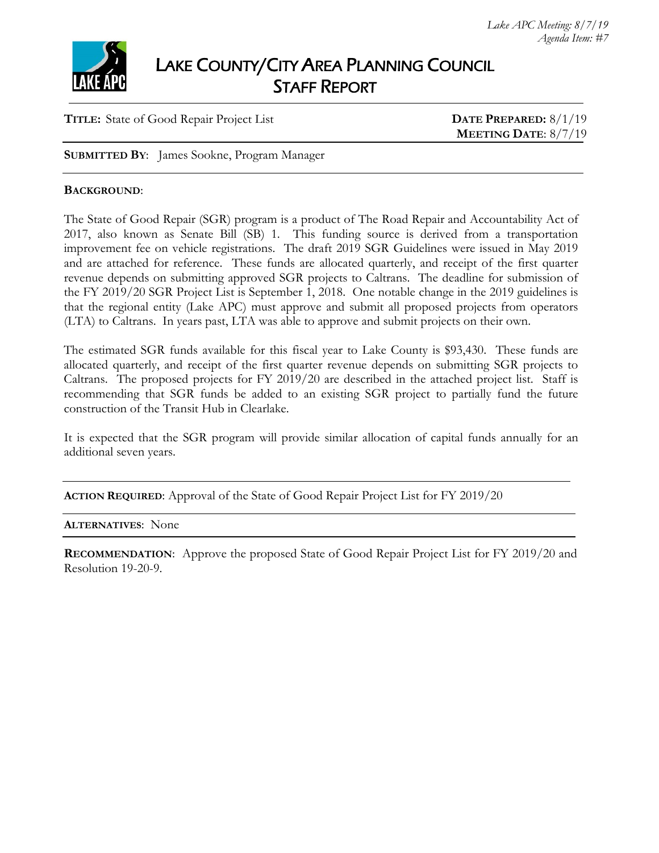

# LAKE COUNTY/CITY AREA PLANNING COUNCIL STAFF REPORT

#### **TITLE:** State of Good Repair Project List **DATE PREPARED:** 8/1/19

# **MEETING DATE**: 8/7/19

**SUBMITTED BY**: James Sookne, Program Manager

#### **BACKGROUND**:

The State of Good Repair (SGR) program is a product of The Road Repair and Accountability Act of 2017, also known as Senate Bill (SB) 1. This funding source is derived from a transportation improvement fee on vehicle registrations. The draft 2019 SGR Guidelines were issued in May 2019 and are attached for reference. These funds are allocated quarterly, and receipt of the first quarter revenue depends on submitting approved SGR projects to Caltrans. The deadline for submission of the FY 2019/20 SGR Project List is September 1, 2018. One notable change in the 2019 guidelines is that the regional entity (Lake APC) must approve and submit all proposed projects from operators (LTA) to Caltrans. In years past, LTA was able to approve and submit projects on their own.

The estimated SGR funds available for this fiscal year to Lake County is \$93,430. These funds are allocated quarterly, and receipt of the first quarter revenue depends on submitting SGR projects to Caltrans. The proposed projects for FY 2019/20 are described in the attached project list. Staff is recommending that SGR funds be added to an existing SGR project to partially fund the future construction of the Transit Hub in Clearlake.

It is expected that the SGR program will provide similar allocation of capital funds annually for an additional seven years.

**ACTION REQUIRED**: Approval of the State of Good Repair Project List for FY 2019/20

**ALTERNATIVES**: None

**RECOMMENDATION**: Approve the proposed State of Good Repair Project List for FY 2019/20 and Resolution 19-20-9.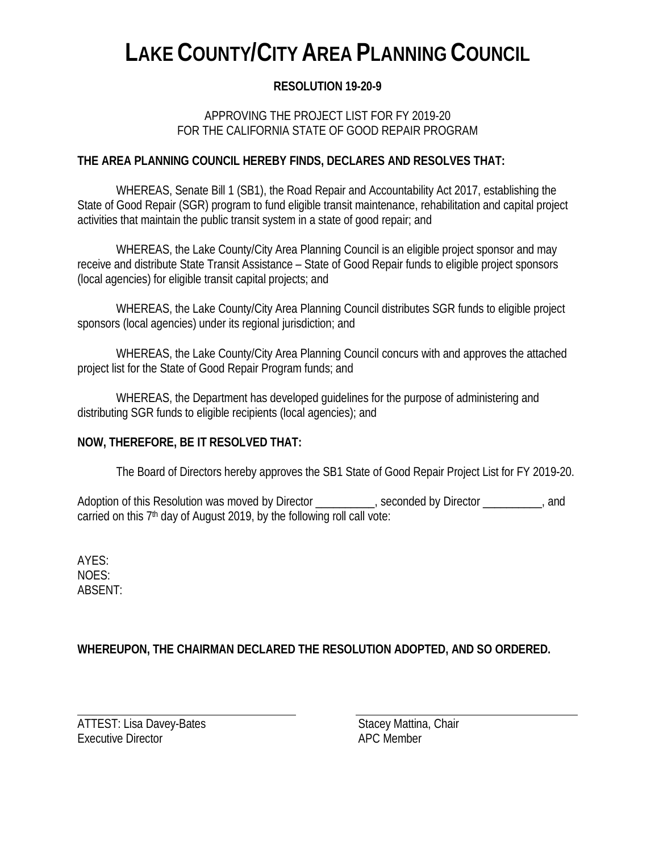# **LAKE COUNTY/CITY AREA PLANNING COUNCIL**

# **RESOLUTION 19-20-9**

## APPROVING THE PROJECT LIST FOR FY 2019-20 FOR THE CALIFORNIA STATE OF GOOD REPAIR PROGRAM

### **THE AREA PLANNING COUNCIL HEREBY FINDS, DECLARES AND RESOLVES THAT:**

WHEREAS, Senate Bill 1 (SB1), the Road Repair and Accountability Act 2017, establishing the State of Good Repair (SGR) program to fund eligible transit maintenance, rehabilitation and capital project activities that maintain the public transit system in a state of good repair; and

WHEREAS, the Lake County/City Area Planning Council is an eligible project sponsor and may receive and distribute State Transit Assistance – State of Good Repair funds to eligible project sponsors (local agencies) for eligible transit capital projects; and

WHEREAS, the Lake County/City Area Planning Council distributes SGR funds to eligible project sponsors (local agencies) under its regional jurisdiction; and

WHEREAS, the Lake County/City Area Planning Council concurs with and approves the attached project list for the State of Good Repair Program funds; and

WHEREAS, the Department has developed guidelines for the purpose of administering and distributing SGR funds to eligible recipients (local agencies); and

#### **NOW, THEREFORE, BE IT RESOLVED THAT:**

The Board of Directors hereby approves the SB1 State of Good Repair Project List for FY 2019-20.

Adoption of this Resolution was moved by Director \_\_\_\_\_\_\_\_\_, seconded by Director \_\_\_\_\_\_\_\_, and carried on this  $7<sup>th</sup>$  day of August 2019, by the following roll call vote:

AYES: NOES: ABSENT:

# **WHEREUPON, THE CHAIRMAN DECLARED THE RESOLUTION ADOPTED, AND SO ORDERED.**

ATTEST: Lisa Davey-Bates Stacey Mattina, Chair Executive Director **APC** Member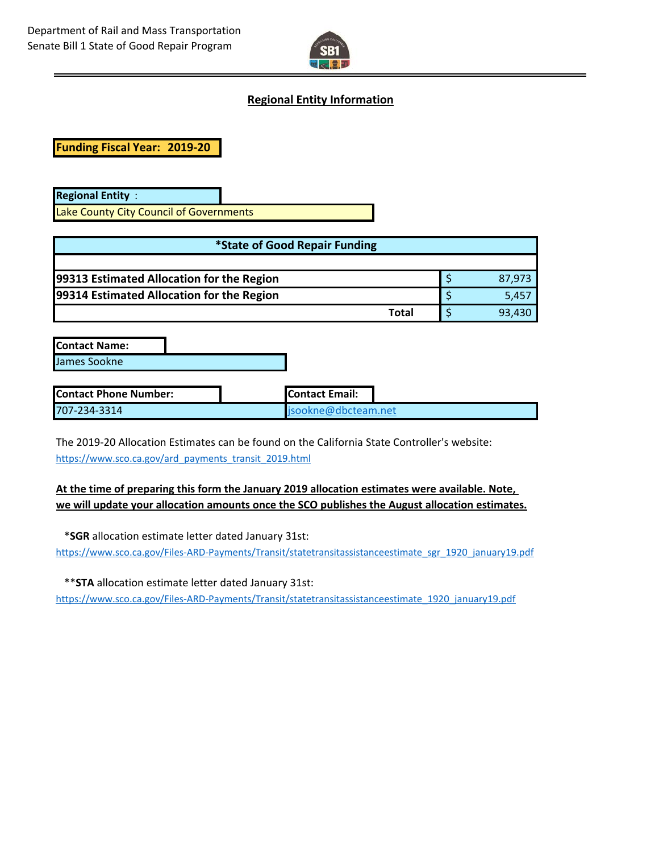

#### **Regional Entity Information**

**Funding Fiscal Year: 2019-20**

**Regional Entity** : Lake County City Council of Governments

| *State of Good Repair Funding             |  |        |  |  |  |
|-------------------------------------------|--|--------|--|--|--|
|                                           |  |        |  |  |  |
| 99313 Estimated Allocation for the Region |  | 87.973 |  |  |  |
| 99314 Estimated Allocation for the Region |  | 5.457  |  |  |  |
| Total                                     |  | 93,430 |  |  |  |

**Contact Name:** James Sookne

| <b>Contact Phone Number:</b> | <b>I</b> Contact Email:    |  |
|------------------------------|----------------------------|--|
| 707-234-3314                 | $\Box$ isookne@dbcteam.net |  |

The 2019-20 Allocation Estimates can be found on the California State Controller's website: https://www.sco.ca.gov/ard\_payments\_transit\_2019.html

#### **At the time of preparing this form the January 2019 allocation estimates were available. Note, we will update your allocation amounts once the SCO publishes the August allocation estimates.**

\***SGR** allocation estimate letter dated January 31st:

[https://www.sco.ca.gov/Files-ARD-Payments/Transit/statetransitassistanceestimate\\_sgr\\_1920\\_january19.pdf](https://www.sco.ca.gov/Files-ARD-Payments/Transit/statetransitassistanceestimate_sgr_1718_october17.pdf)

\*\***STA** allocation estimate letter dated January 31st:

[https://www.sco.ca.gov/Files-ARD-Payments/Transit/statetransitassistanceestimate\\_1920\\_january19.pdf](https://www.sco.ca.gov/Files-ARD-Payments/Transit/statetransitassistanceestimate_1718_october17.pdf)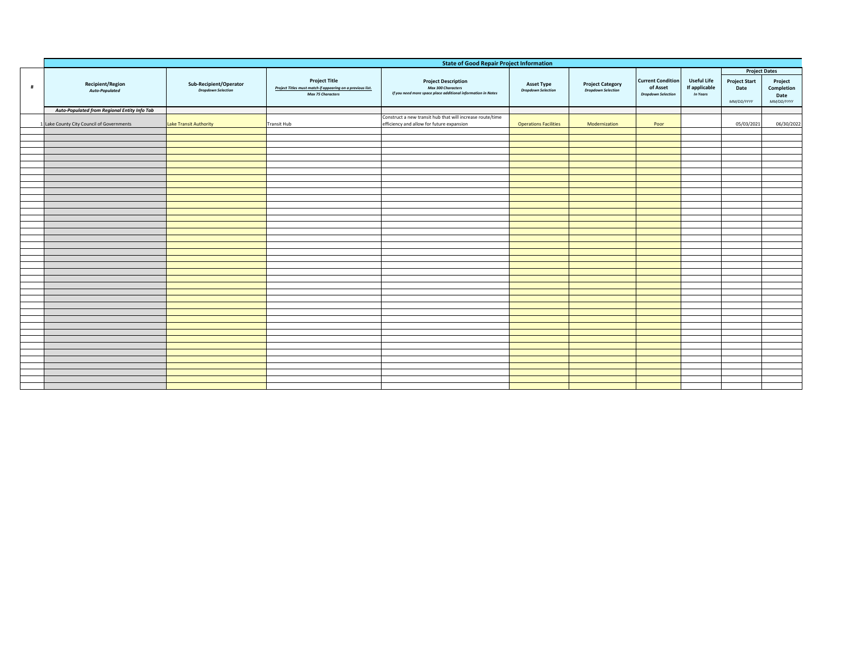|   | <b>State of Good Repair Project Information</b> |                                                     |                                                                                                                |                                                                                                                  |                                                |                                                      |                                                                   |                                                 |                                                                    |                                             |
|---|-------------------------------------------------|-----------------------------------------------------|----------------------------------------------------------------------------------------------------------------|------------------------------------------------------------------------------------------------------------------|------------------------------------------------|------------------------------------------------------|-------------------------------------------------------------------|-------------------------------------------------|--------------------------------------------------------------------|---------------------------------------------|
| # | <b>Recipient/Region</b><br>Auto-Populated       | Sub-Recipient/Operator<br><b>Dropdown Selection</b> | <b>Project Title</b><br>Project Titles must match if appearing on a previous list.<br><b>Max 75 Characters</b> | <b>Project Description</b><br>Max 300 Characters<br>If you need more space place additional information in Notes | <b>Asset Type</b><br><b>Dropdown Selection</b> | <b>Project Category</b><br><b>Dropdown Selection</b> | <b>Current Condition</b><br>of Asset<br><b>Dropdown Selection</b> | <b>Useful Life</b><br>If applicable<br>In Years | <b>Project Dates</b><br><b>Project Start</b><br>Date<br>MM/DD/YYYY | Project<br>Completion<br>Date<br>MM/DD/YYYY |
|   | Auto-Populated from Regional Entity Info Tab    |                                                     |                                                                                                                |                                                                                                                  |                                                |                                                      |                                                                   |                                                 |                                                                    |                                             |
|   | 1 Lake County City Council of Governments       | Lake Transit Authority                              | <b>Transit Hub</b>                                                                                             | Construct a new transit hub that will increase route/time<br>efficiency and allow for future expansion           | <b>Operations Facilities</b>                   | Modernization                                        | Poor                                                              |                                                 | 05/03/2021                                                         | 06/30/2022                                  |
|   |                                                 |                                                     |                                                                                                                |                                                                                                                  |                                                |                                                      |                                                                   |                                                 |                                                                    |                                             |
|   |                                                 |                                                     |                                                                                                                |                                                                                                                  |                                                |                                                      |                                                                   |                                                 |                                                                    |                                             |
|   |                                                 |                                                     |                                                                                                                |                                                                                                                  |                                                |                                                      |                                                                   |                                                 |                                                                    |                                             |
|   |                                                 |                                                     |                                                                                                                |                                                                                                                  |                                                |                                                      |                                                                   |                                                 |                                                                    |                                             |
|   |                                                 |                                                     |                                                                                                                |                                                                                                                  |                                                |                                                      |                                                                   |                                                 |                                                                    |                                             |
|   |                                                 |                                                     |                                                                                                                |                                                                                                                  |                                                |                                                      |                                                                   |                                                 |                                                                    |                                             |
|   |                                                 |                                                     |                                                                                                                |                                                                                                                  |                                                |                                                      |                                                                   |                                                 |                                                                    |                                             |
|   |                                                 |                                                     |                                                                                                                |                                                                                                                  |                                                |                                                      |                                                                   |                                                 |                                                                    |                                             |
|   |                                                 |                                                     |                                                                                                                |                                                                                                                  |                                                |                                                      |                                                                   |                                                 |                                                                    |                                             |
|   |                                                 |                                                     |                                                                                                                |                                                                                                                  |                                                |                                                      |                                                                   |                                                 |                                                                    |                                             |
|   |                                                 |                                                     |                                                                                                                |                                                                                                                  |                                                |                                                      |                                                                   |                                                 |                                                                    |                                             |
|   |                                                 |                                                     |                                                                                                                |                                                                                                                  |                                                |                                                      |                                                                   |                                                 |                                                                    |                                             |
|   |                                                 |                                                     |                                                                                                                |                                                                                                                  |                                                |                                                      |                                                                   |                                                 |                                                                    |                                             |
|   |                                                 |                                                     |                                                                                                                |                                                                                                                  |                                                |                                                      |                                                                   |                                                 |                                                                    |                                             |
|   |                                                 |                                                     |                                                                                                                |                                                                                                                  |                                                |                                                      |                                                                   |                                                 |                                                                    |                                             |
|   |                                                 |                                                     |                                                                                                                |                                                                                                                  |                                                |                                                      |                                                                   |                                                 |                                                                    |                                             |
|   |                                                 |                                                     |                                                                                                                |                                                                                                                  |                                                |                                                      |                                                                   |                                                 |                                                                    |                                             |
|   |                                                 |                                                     |                                                                                                                |                                                                                                                  |                                                |                                                      |                                                                   |                                                 |                                                                    |                                             |
|   |                                                 |                                                     |                                                                                                                |                                                                                                                  |                                                |                                                      |                                                                   |                                                 |                                                                    |                                             |
|   |                                                 |                                                     |                                                                                                                |                                                                                                                  |                                                |                                                      |                                                                   |                                                 |                                                                    |                                             |
|   |                                                 |                                                     |                                                                                                                |                                                                                                                  |                                                |                                                      |                                                                   |                                                 |                                                                    |                                             |
|   |                                                 |                                                     |                                                                                                                |                                                                                                                  |                                                |                                                      |                                                                   |                                                 |                                                                    |                                             |
|   |                                                 |                                                     |                                                                                                                |                                                                                                                  |                                                |                                                      |                                                                   |                                                 |                                                                    |                                             |
|   |                                                 |                                                     |                                                                                                                |                                                                                                                  |                                                |                                                      |                                                                   |                                                 |                                                                    |                                             |
|   |                                                 |                                                     |                                                                                                                |                                                                                                                  |                                                |                                                      |                                                                   |                                                 |                                                                    |                                             |
|   |                                                 |                                                     |                                                                                                                |                                                                                                                  |                                                |                                                      |                                                                   |                                                 |                                                                    |                                             |
|   |                                                 |                                                     |                                                                                                                |                                                                                                                  |                                                |                                                      |                                                                   |                                                 |                                                                    |                                             |
|   |                                                 |                                                     |                                                                                                                |                                                                                                                  |                                                |                                                      |                                                                   |                                                 |                                                                    |                                             |
|   |                                                 |                                                     |                                                                                                                |                                                                                                                  |                                                |                                                      |                                                                   |                                                 |                                                                    |                                             |
|   |                                                 |                                                     |                                                                                                                |                                                                                                                  |                                                |                                                      |                                                                   |                                                 |                                                                    |                                             |
|   |                                                 |                                                     |                                                                                                                |                                                                                                                  |                                                |                                                      |                                                                   |                                                 |                                                                    |                                             |
|   |                                                 |                                                     |                                                                                                                |                                                                                                                  |                                                |                                                      |                                                                   |                                                 |                                                                    |                                             |
|   |                                                 |                                                     |                                                                                                                |                                                                                                                  |                                                |                                                      |                                                                   |                                                 |                                                                    |                                             |
|   |                                                 |                                                     |                                                                                                                |                                                                                                                  |                                                |                                                      |                                                                   |                                                 |                                                                    |                                             |
|   |                                                 |                                                     |                                                                                                                |                                                                                                                  |                                                |                                                      |                                                                   |                                                 |                                                                    |                                             |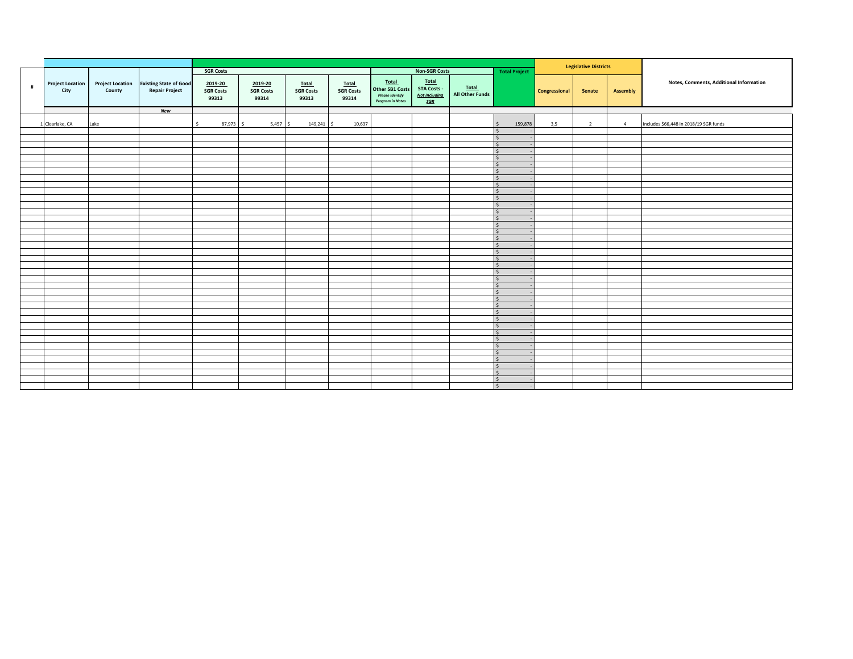|   |                                 |                                   |                                                        |                                      |                                      |                                    |                                           |                                                                               |                                                            |                                 | <b>Legislative Districts</b>                        |               |                |                |                                         |
|---|---------------------------------|-----------------------------------|--------------------------------------------------------|--------------------------------------|--------------------------------------|------------------------------------|-------------------------------------------|-------------------------------------------------------------------------------|------------------------------------------------------------|---------------------------------|-----------------------------------------------------|---------------|----------------|----------------|-----------------------------------------|
|   |                                 |                                   |                                                        | <b>SGR Costs</b>                     |                                      |                                    |                                           |                                                                               | <b>Non-SGR Costs</b>                                       |                                 | <b>Total Project</b>                                |               |                |                |                                         |
| # | <b>Project Location</b><br>City | <b>Project Location</b><br>County | <b>Existing State of Good</b><br><b>Repair Project</b> | 2019-20<br><b>SGR Costs</b><br>99313 | 2019-20<br><b>SGR Costs</b><br>99314 | Total<br><b>SGR Costs</b><br>99313 | <b>Total</b><br><b>SGR Costs</b><br>99314 | Total<br><b>Other SB1 Costs</b><br><b>Please Identify</b><br>Program in Notes | Total<br><b>STA Costs -</b><br><b>Not Including</b><br>SGR | Total<br><b>All Other Funds</b> |                                                     | Congressional | Senate         | Assembly       | Notes, Comments, Additional Information |
|   |                                 |                                   | <b>New</b>                                             |                                      |                                      |                                    |                                           |                                                                               |                                                            |                                 |                                                     |               |                |                |                                         |
|   | 1 Clearlake, CA                 | Lake                              |                                                        | s.<br>87,973 \$                      | $5,457$ \$                           | 149,241 \$                         | 10,637                                    |                                                                               |                                                            |                                 | 159,878<br>l s                                      | 3,5           | $\overline{2}$ | $\overline{4}$ | Includes \$66,448 in 2018/19 SGR funds  |
|   |                                 |                                   |                                                        |                                      |                                      |                                    |                                           |                                                                               |                                                            |                                 | l \$                                                |               |                |                |                                         |
|   |                                 |                                   |                                                        |                                      |                                      |                                    |                                           |                                                                               |                                                            |                                 | $\vert$ \$<br>$\overline{\mathsf{s}}$               |               |                |                |                                         |
|   |                                 |                                   |                                                        |                                      |                                      |                                    |                                           |                                                                               |                                                            |                                 | l \$                                                |               |                |                |                                         |
|   |                                 |                                   |                                                        |                                      |                                      |                                    |                                           |                                                                               |                                                            |                                 | $\vert \mathsf{s} \vert$                            |               |                |                |                                         |
|   |                                 |                                   |                                                        |                                      |                                      |                                    |                                           |                                                                               |                                                            |                                 | $\vert$ \$                                          |               |                |                |                                         |
|   |                                 |                                   |                                                        |                                      |                                      |                                    |                                           |                                                                               |                                                            |                                 | l \$                                                |               |                |                |                                         |
|   |                                 |                                   |                                                        |                                      |                                      |                                    |                                           |                                                                               |                                                            |                                 | $\vert$ \$                                          |               |                |                |                                         |
|   |                                 |                                   |                                                        |                                      |                                      |                                    |                                           |                                                                               |                                                            |                                 | $\vert \varsigma \vert$                             |               |                |                |                                         |
|   |                                 |                                   |                                                        |                                      |                                      |                                    |                                           |                                                                               |                                                            |                                 | l \$<br>$\vert \mathsf{s} \vert$                    |               |                |                |                                         |
|   |                                 |                                   |                                                        |                                      |                                      |                                    |                                           |                                                                               |                                                            |                                 | l \$                                                |               |                |                |                                         |
|   |                                 |                                   |                                                        |                                      |                                      |                                    |                                           |                                                                               |                                                            |                                 | $\vert \mathsf{s} \vert$                            |               |                |                |                                         |
|   |                                 |                                   |                                                        |                                      |                                      |                                    |                                           |                                                                               |                                                            |                                 | $\vert \varsigma \vert$                             |               |                |                |                                         |
|   |                                 |                                   |                                                        |                                      |                                      |                                    |                                           |                                                                               |                                                            |                                 | $\vert$ s                                           |               |                |                |                                         |
|   |                                 |                                   |                                                        |                                      |                                      |                                    |                                           |                                                                               |                                                            |                                 | $\vert \mathsf{s} \vert$                            |               |                |                |                                         |
|   |                                 |                                   |                                                        |                                      |                                      |                                    |                                           |                                                                               |                                                            |                                 | $\vert \varsigma \vert$                             |               |                |                |                                         |
|   |                                 |                                   |                                                        |                                      |                                      |                                    |                                           |                                                                               |                                                            |                                 | $\vert$ s<br>$\vert$ \$                             |               |                |                |                                         |
|   |                                 |                                   |                                                        |                                      |                                      |                                    |                                           |                                                                               |                                                            |                                 | $\overline{\phantom{a}}$                            |               |                |                |                                         |
|   |                                 |                                   |                                                        |                                      |                                      |                                    |                                           |                                                                               |                                                            |                                 | $\vert$ s                                           |               |                |                |                                         |
|   |                                 |                                   |                                                        |                                      |                                      |                                    |                                           |                                                                               |                                                            |                                 | $\overline{\mathsf{s}}$                             |               |                |                |                                         |
|   |                                 |                                   |                                                        |                                      |                                      |                                    |                                           |                                                                               |                                                            |                                 | l \$                                                |               |                |                |                                         |
|   |                                 |                                   |                                                        |                                      |                                      |                                    |                                           |                                                                               |                                                            |                                 | $\frac{1}{2}$                                       |               |                |                |                                         |
|   |                                 |                                   |                                                        |                                      |                                      |                                    |                                           |                                                                               |                                                            |                                 | $\vert \varsigma \vert$                             |               |                |                |                                         |
|   |                                 |                                   |                                                        |                                      |                                      |                                    |                                           |                                                                               |                                                            |                                 | $\vert \mathsf{s} \vert$<br>$\vert \varsigma \vert$ |               |                |                |                                         |
|   |                                 |                                   |                                                        |                                      |                                      |                                    |                                           |                                                                               |                                                            |                                 | $\overline{\mathsf{s}}$                             |               |                |                |                                         |
|   |                                 |                                   |                                                        |                                      |                                      |                                    |                                           |                                                                               |                                                            |                                 | $\vert \mathsf{s} \vert$                            |               |                |                |                                         |
|   |                                 |                                   |                                                        |                                      |                                      |                                    |                                           |                                                                               |                                                            |                                 | $\overline{\mathsf{s}}$                             |               |                |                |                                         |
|   |                                 |                                   |                                                        |                                      |                                      |                                    |                                           |                                                                               |                                                            |                                 | $\vert \mathsf{s} \vert$                            |               |                |                |                                         |
|   |                                 |                                   |                                                        |                                      |                                      |                                    |                                           |                                                                               |                                                            |                                 | l s                                                 |               |                |                |                                         |
|   |                                 |                                   |                                                        |                                      |                                      |                                    |                                           |                                                                               |                                                            |                                 | $\vert \mathsf{s} \vert$                            |               |                |                |                                         |
|   |                                 |                                   |                                                        |                                      |                                      |                                    |                                           |                                                                               |                                                            |                                 | $\vert \varsigma \vert$<br>l \$                     |               |                |                |                                         |
|   |                                 |                                   |                                                        |                                      |                                      |                                    |                                           |                                                                               |                                                            |                                 | $\overline{\mathsf{s}}$                             |               |                |                |                                         |
|   |                                 |                                   |                                                        |                                      |                                      |                                    |                                           |                                                                               |                                                            |                                 | l \$                                                |               |                |                |                                         |
|   |                                 |                                   |                                                        |                                      |                                      |                                    |                                           |                                                                               |                                                            |                                 | $\vert$ s                                           |               |                |                |                                         |
|   |                                 |                                   |                                                        |                                      |                                      |                                    |                                           |                                                                               |                                                            |                                 | $\overline{\mathsf{s}}$                             |               |                |                |                                         |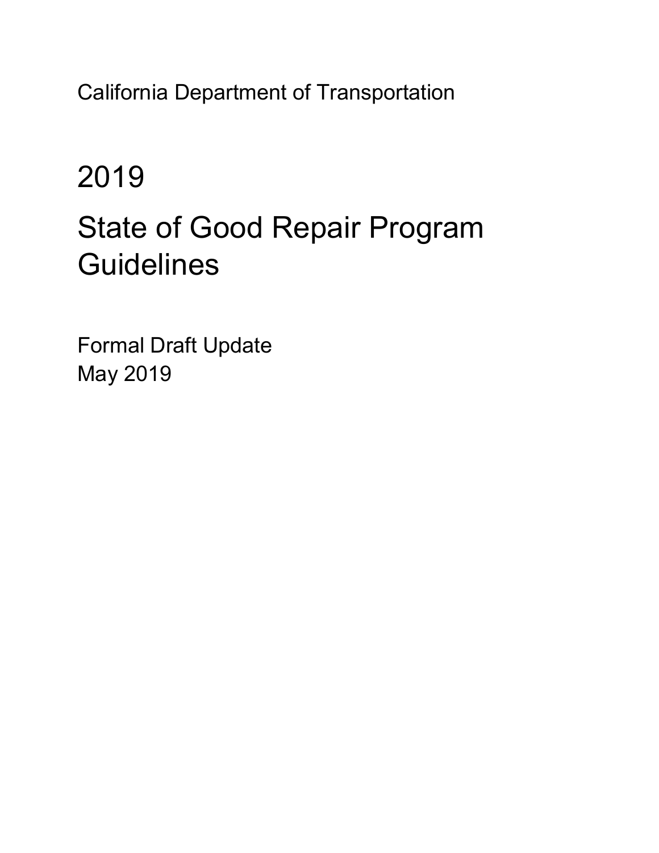California Department of Transportation

# 2019

# State of Good Repair Program **Guidelines**

Formal Draft Update May 2019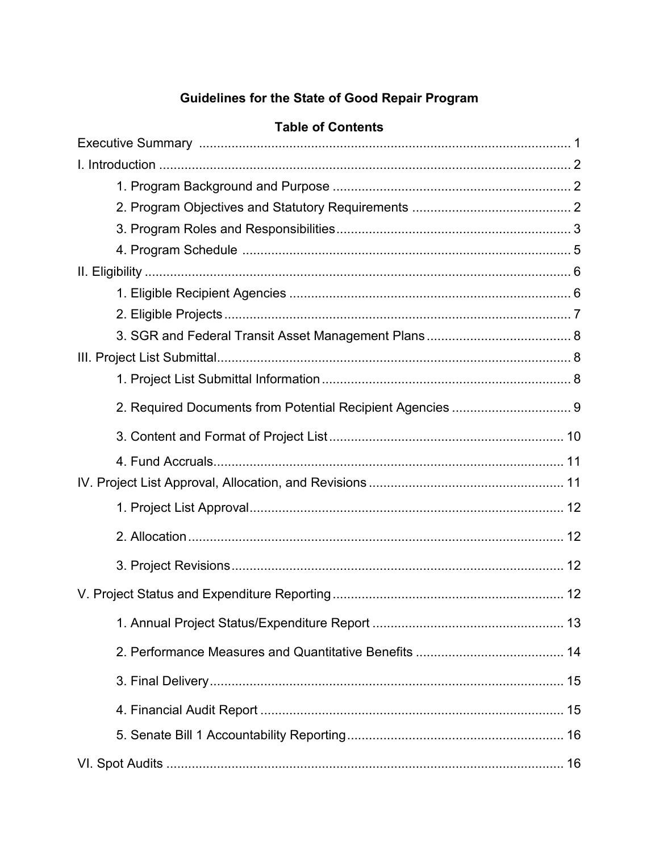# **Guidelines for the State of Good Repair Program**

| Table of Contents |  |
|-------------------|--|
|                   |  |
|                   |  |
|                   |  |
|                   |  |
|                   |  |
|                   |  |
|                   |  |
|                   |  |
|                   |  |
|                   |  |
|                   |  |
|                   |  |
|                   |  |
|                   |  |
|                   |  |
|                   |  |
|                   |  |
|                   |  |
|                   |  |
|                   |  |
|                   |  |
|                   |  |
|                   |  |
|                   |  |
|                   |  |

# Table of Contents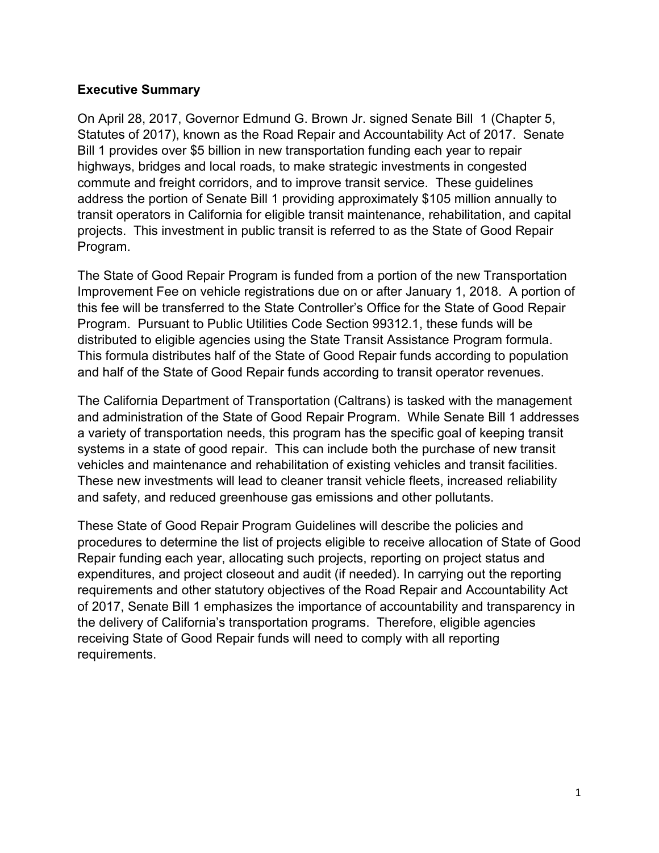### **Executive Summary**

On April 28, 2017, Governor Edmund G. Brown Jr. signed Senate Bill 1 (Chapter 5, Statutes of 2017), known as the Road Repair and Accountability Act of 2017. Senate Bill 1 provides over \$5 billion in new transportation funding each year to repair highways, bridges and local roads, to make strategic investments in congested commute and freight corridors, and to improve transit service. These guidelines address the portion of Senate Bill 1 providing approximately \$105 million annually to transit operators in California for eligible transit maintenance, rehabilitation, and capital projects. This investment in public transit is referred to as the State of Good Repair Program.

The State of Good Repair Program is funded from a portion of the new Transportation Improvement Fee on vehicle registrations due on or after January 1, 2018. A portion of this fee will be transferred to the State Controller's Office for the State of Good Repair Program. Pursuant to Public Utilities Code Section 99312.1, these funds will be distributed to eligible agencies using the State Transit Assistance Program formula. This formula distributes half of the State of Good Repair funds according to population and half of the State of Good Repair funds according to transit operator revenues.

The California Department of Transportation (Caltrans) is tasked with the management and administration of the State of Good Repair Program. While Senate Bill 1 addresses a variety of transportation needs, this program has the specific goal of keeping transit systems in a state of good repair. This can include both the purchase of new transit vehicles and maintenance and rehabilitation of existing vehicles and transit facilities. These new investments will lead to cleaner transit vehicle fleets, increased reliability and safety, and reduced greenhouse gas emissions and other pollutants.

These State of Good Repair Program Guidelines will describe the policies and procedures to determine the list of projects eligible to receive allocation of State of Good Repair funding each year, allocating such projects, reporting on project status and expenditures, and project closeout and audit (if needed). In carrying out the reporting requirements and other statutory objectives of the Road Repair and Accountability Act of 2017, Senate Bill 1 emphasizes the importance of accountability and transparency in the delivery of California's transportation programs. Therefore, eligible agencies receiving State of Good Repair funds will need to comply with all reporting requirements.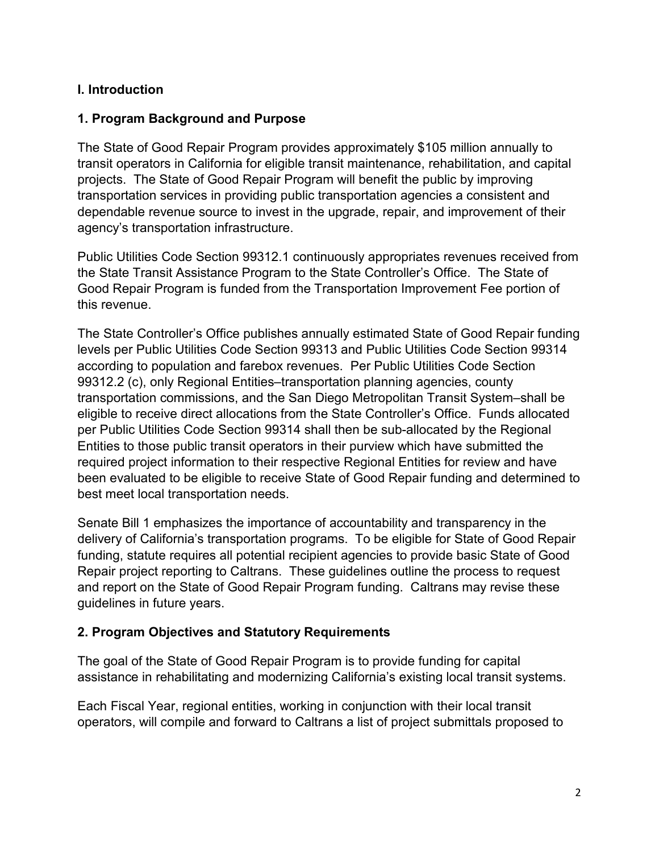# **I. Introduction**

# **1. Program Background and Purpose**

The State of Good Repair Program provides approximately \$105 million annually to transit operators in California for eligible transit maintenance, rehabilitation, and capital projects. The State of Good Repair Program will benefit the public by improving transportation services in providing public transportation agencies a consistent and dependable revenue source to invest in the upgrade, repair, and improvement of their agency's transportation infrastructure.

Public Utilities Code Section 99312.1 continuously appropriates revenues received from the State Transit Assistance Program to the State Controller's Office. The State of Good Repair Program is funded from the Transportation Improvement Fee portion of this revenue.

The State Controller's Office publishes annually estimated State of Good Repair funding levels per Public Utilities Code Section 99313 and Public Utilities Code Section 99314 according to population and farebox revenues. Per Public Utilities Code Section 99312.2 (c), only Regional Entities–transportation planning agencies, county transportation commissions, and the San Diego Metropolitan Transit System–shall be eligible to receive direct allocations from the State Controller's Office. Funds allocated per Public Utilities Code Section 99314 shall then be sub-allocated by the Regional Entities to those public transit operators in their purview which have submitted the required project information to their respective Regional Entities for review and have been evaluated to be eligible to receive State of Good Repair funding and determined to best meet local transportation needs.

Senate Bill 1 emphasizes the importance of accountability and transparency in the delivery of California's transportation programs. To be eligible for State of Good Repair funding, statute requires all potential recipient agencies to provide basic State of Good Repair project reporting to Caltrans. These guidelines outline the process to request and report on the State of Good Repair Program funding. Caltrans may revise these guidelines in future years.

# **2. Program Objectives and Statutory Requirements**

The goal of the State of Good Repair Program is to provide funding for capital assistance in rehabilitating and modernizing California's existing local transit systems.

Each Fiscal Year, regional entities, working in conjunction with their local transit operators, will compile and forward to Caltrans a list of project submittals proposed to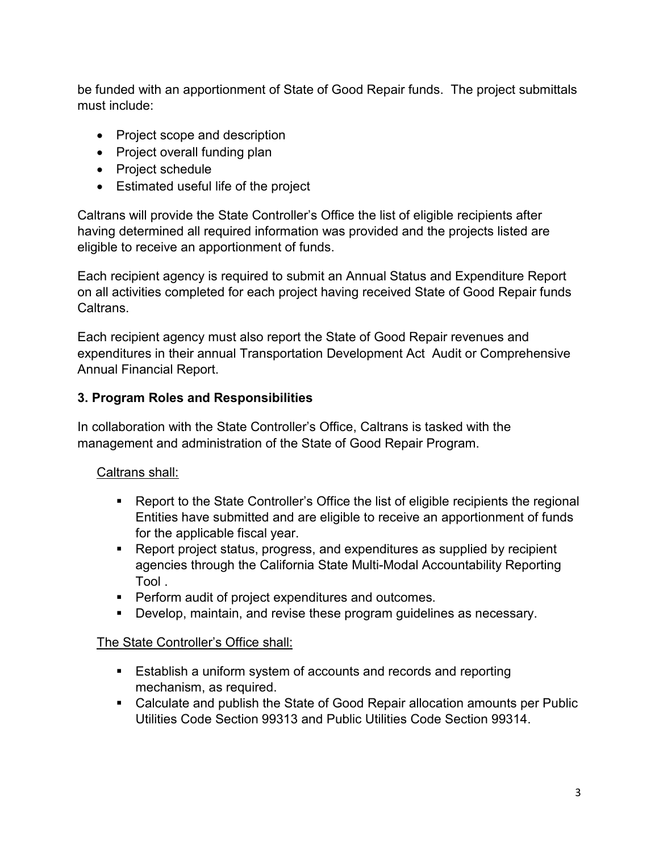be funded with an apportionment of State of Good Repair funds. The project submittals must include:

- Project scope and description
- Project overall funding plan
- Project schedule
- Estimated useful life of the project

Caltrans will provide the State Controller's Office the list of eligible recipients after having determined all required information was provided and the projects listed are eligible to receive an apportionment of funds.

Each recipient agency is required to submit an Annual Status and Expenditure Report on all activities completed for each project having received State of Good Repair funds Caltrans.

Each recipient agency must also report the State of Good Repair revenues and expenditures in their annual Transportation Development Act Audit or Comprehensive Annual Financial Report.

#### **3. Program Roles and Responsibilities**

In collaboration with the State Controller's Office, Caltrans is tasked with the management and administration of the State of Good Repair Program.

#### Caltrans shall:

- Report to the State Controller's Office the list of eligible recipients the regional Entities have submitted and are eligible to receive an apportionment of funds for the applicable fiscal year.
- Report project status, progress, and expenditures as supplied by recipient agencies through the California State Multi-Modal Accountability Reporting Tool .
- **Perform audit of project expenditures and outcomes.**
- Develop, maintain, and revise these program guidelines as necessary.

#### The State Controller's Office shall:

- Establish a uniform system of accounts and records and reporting mechanism, as required.
- Calculate and publish the State of Good Repair allocation amounts per Public Utilities Code Section 99313 and Public Utilities Code Section 99314.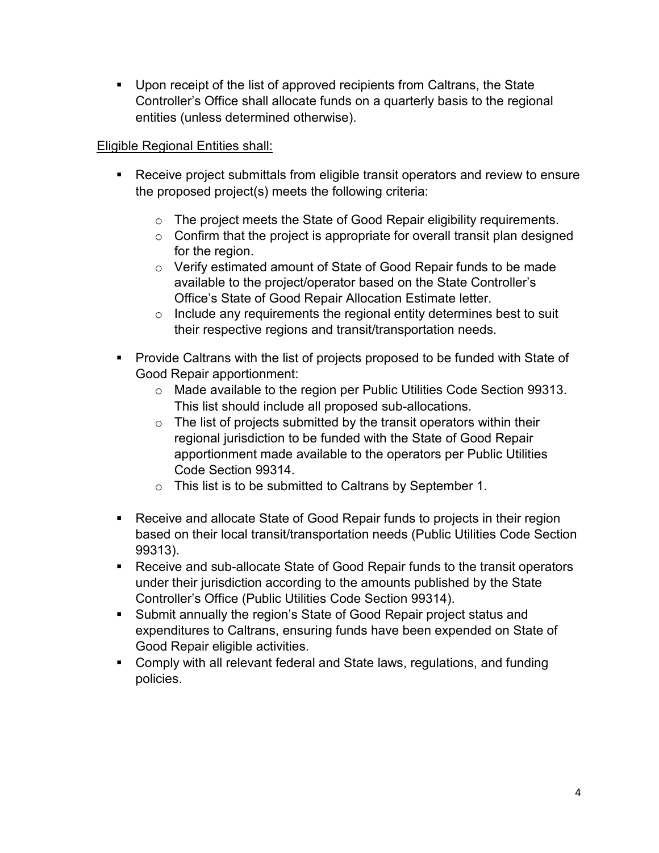Upon receipt of the list of approved recipients from Caltrans, the State Controller's Office shall allocate funds on a quarterly basis to the regional entities (unless determined otherwise).

# Eligible Regional Entities shall:

- Receive project submittals from eligible transit operators and review to ensure the proposed project(s) meets the following criteria:
	- o The project meets the State of Good Repair eligibility requirements.
	- $\circ$  Confirm that the project is appropriate for overall transit plan designed for the region.
	- o Verify estimated amount of State of Good Repair funds to be made available to the project/operator based on the State Controller's Office's State of Good Repair Allocation Estimate letter.
	- $\circ$  Include any requirements the regional entity determines best to suit their respective regions and transit/transportation needs.
- **Provide Caltrans with the list of projects proposed to be funded with State of** Good Repair apportionment:
	- o Made available to the region per Public Utilities Code Section 99313. This list should include all proposed sub-allocations.
	- $\circ$  The list of projects submitted by the transit operators within their regional jurisdiction to be funded with the State of Good Repair apportionment made available to the operators per Public Utilities Code Section 99314.
	- o This list is to be submitted to Caltrans by September 1.
- Receive and allocate State of Good Repair funds to projects in their region based on their local transit/transportation needs (Public Utilities Code Section 99313).
- Receive and sub-allocate State of Good Repair funds to the transit operators under their jurisdiction according to the amounts published by the State Controller's Office (Public Utilities Code Section 99314).
- Submit annually the region's State of Good Repair project status and expenditures to Caltrans, ensuring funds have been expended on State of Good Repair eligible activities.
- Comply with all relevant federal and State laws, regulations, and funding policies.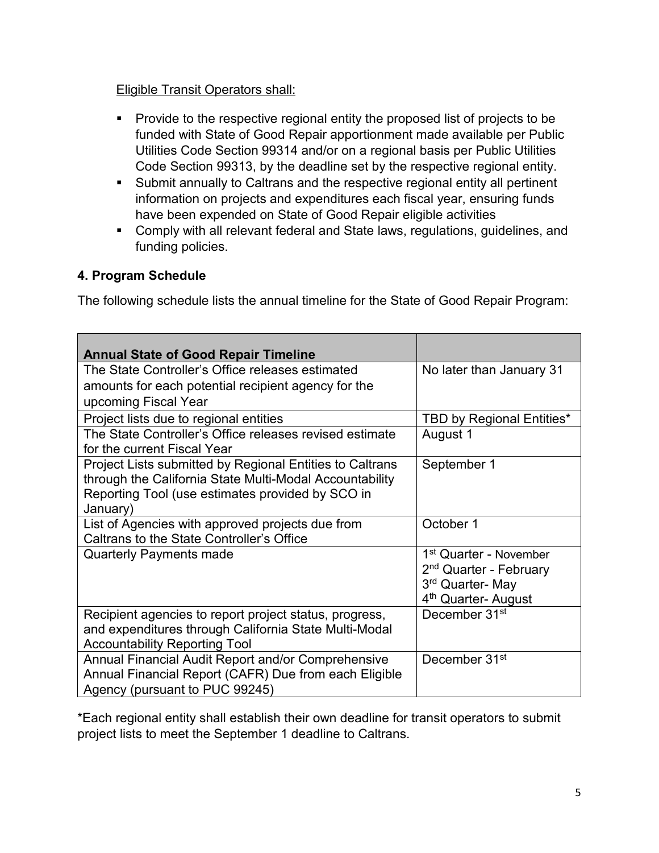# Eligible Transit Operators shall:

- **Provide to the respective regional entity the proposed list of projects to be** funded with State of Good Repair apportionment made available per Public Utilities Code Section 99314 and/or on a regional basis per Public Utilities Code Section 99313, by the deadline set by the respective regional entity.
- Submit annually to Caltrans and the respective regional entity all pertinent information on projects and expenditures each fiscal year, ensuring funds have been expended on State of Good Repair eligible activities
- Comply with all relevant federal and State laws, regulations, guidelines, and funding policies.

# **4. Program Schedule**

The following schedule lists the annual timeline for the State of Good Repair Program:

| <b>Annual State of Good Repair Timeline</b>                                                   |                                                              |
|-----------------------------------------------------------------------------------------------|--------------------------------------------------------------|
| The State Controller's Office releases estimated                                              | No later than January 31                                     |
| amounts for each potential recipient agency for the                                           |                                                              |
| upcoming Fiscal Year                                                                          |                                                              |
| Project lists due to regional entities                                                        | <b>TBD by Regional Entities*</b>                             |
| The State Controller's Office releases revised estimate                                       | August 1                                                     |
| for the current Fiscal Year                                                                   |                                                              |
| Project Lists submitted by Regional Entities to Caltrans                                      | September 1                                                  |
| through the California State Multi-Modal Accountability                                       |                                                              |
| Reporting Tool (use estimates provided by SCO in<br>January)                                  |                                                              |
|                                                                                               | October 1                                                    |
| List of Agencies with approved projects due from<br>Caltrans to the State Controller's Office |                                                              |
|                                                                                               |                                                              |
|                                                                                               |                                                              |
| <b>Quarterly Payments made</b>                                                                | 1 <sup>st</sup> Quarter - November                           |
|                                                                                               | 2 <sup>nd</sup> Quarter - February                           |
|                                                                                               | 3rd Quarter- May                                             |
| Recipient agencies to report project status, progress,                                        | 4 <sup>th</sup> Quarter- August<br>December 31 <sup>st</sup> |
| and expenditures through California State Multi-Modal                                         |                                                              |
| <b>Accountability Reporting Tool</b>                                                          |                                                              |
| Annual Financial Audit Report and/or Comprehensive                                            | December 31 <sup>st</sup>                                    |
| Annual Financial Report (CAFR) Due from each Eligible<br>Agency (pursuant to PUC 99245)       |                                                              |

\*Each regional entity shall establish their own deadline for transit operators to submit project lists to meet the September 1 deadline to Caltrans.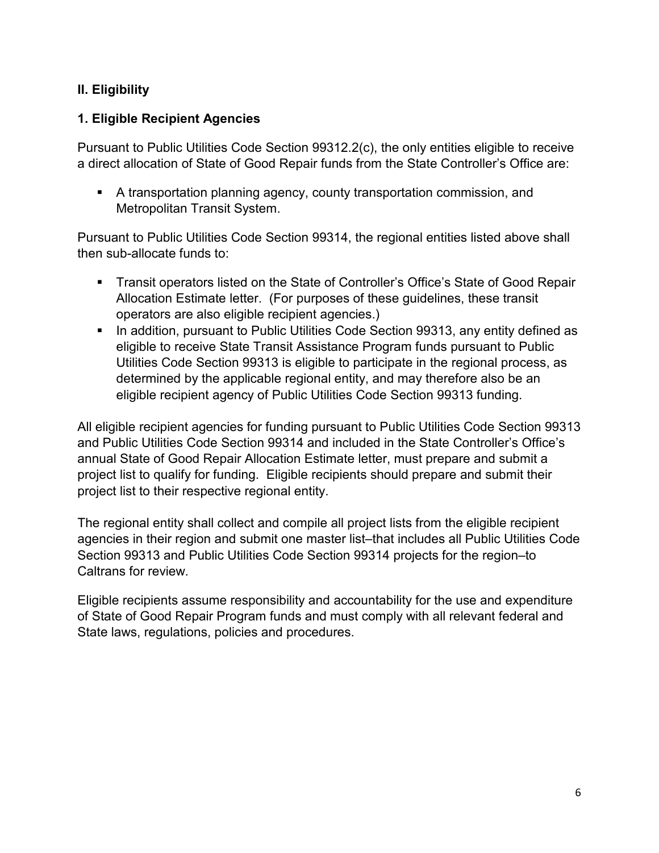# **II. Eligibility**

# **1. Eligible Recipient Agencies**

Pursuant to Public Utilities Code Section 99312.2(c), the only entities eligible to receive a direct allocation of State of Good Repair funds from the State Controller's Office are:

 A transportation planning agency, county transportation commission, and Metropolitan Transit System.

Pursuant to Public Utilities Code Section 99314, the regional entities listed above shall then sub-allocate funds to:

- **Transit operators listed on the State of Controller's Office's State of Good Repair** Allocation Estimate letter. (For purposes of these guidelines, these transit operators are also eligible recipient agencies.)
- **IF In addition, pursuant to Public Utilities Code Section 99313, any entity defined as** eligible to receive State Transit Assistance Program funds pursuant to Public Utilities Code Section 99313 is eligible to participate in the regional process, as determined by the applicable regional entity, and may therefore also be an eligible recipient agency of Public Utilities Code Section 99313 funding.

All eligible recipient agencies for funding pursuant to Public Utilities Code Section 99313 and Public Utilities Code Section 99314 and included in the State Controller's Office's annual State of Good Repair Allocation Estimate letter, must prepare and submit a project list to qualify for funding. Eligible recipients should prepare and submit their project list to their respective regional entity.

The regional entity shall collect and compile all project lists from the eligible recipient agencies in their region and submit one master list–that includes all Public Utilities Code Section 99313 and Public Utilities Code Section 99314 projects for the region–to Caltrans for review.

Eligible recipients assume responsibility and accountability for the use and expenditure of State of Good Repair Program funds and must comply with all relevant federal and State laws, regulations, policies and procedures.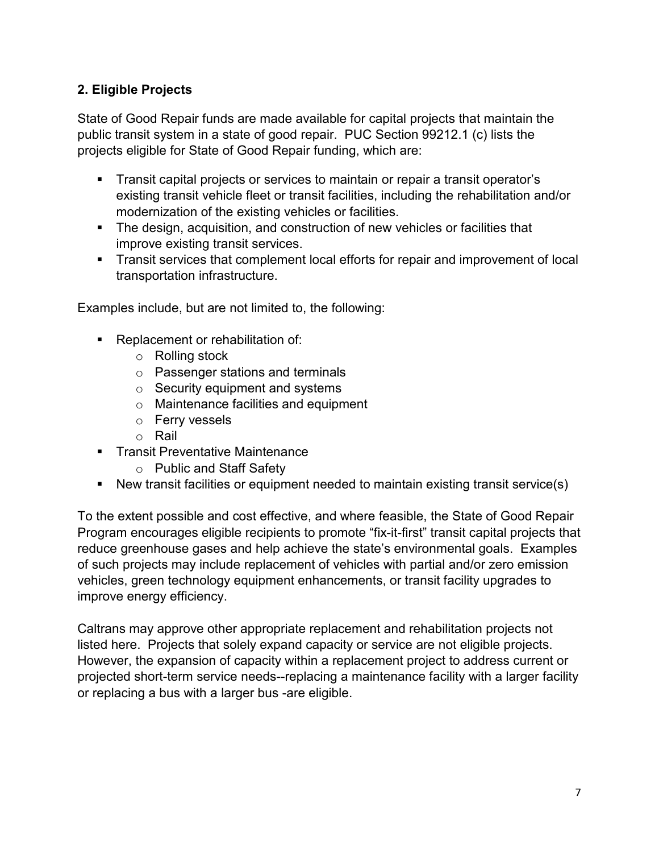# **2. Eligible Projects**

State of Good Repair funds are made available for capital projects that maintain the public transit system in a state of good repair. PUC Section 99212.1 (c) lists the projects eligible for State of Good Repair funding, which are:

- Transit capital projects or services to maintain or repair a transit operator's existing transit vehicle fleet or transit facilities, including the rehabilitation and/or modernization of the existing vehicles or facilities.
- **The design, acquisition, and construction of new vehicles or facilities that** improve existing transit services.
- Transit services that complement local efforts for repair and improvement of local transportation infrastructure.

Examples include, but are not limited to, the following:

- Replacement or rehabilitation of:
	- o Rolling stock
	- o Passenger stations and terminals
	- $\circ$  Security equipment and systems
	- o Maintenance facilities and equipment
	- o Ferry vessels
	- o Rail
- **Transit Preventative Maintenance** 
	- o Public and Staff Safety
- New transit facilities or equipment needed to maintain existing transit service(s)

To the extent possible and cost effective, and where feasible, the State of Good Repair Program encourages eligible recipients to promote "fix-it-first" transit capital projects that reduce greenhouse gases and help achieve the state's environmental goals. Examples of such projects may include replacement of vehicles with partial and/or zero emission vehicles, green technology equipment enhancements, or transit facility upgrades to improve energy efficiency.

Caltrans may approve other appropriate replacement and rehabilitation projects not listed here. Projects that solely expand capacity or service are not eligible projects. However, the expansion of capacity within a replacement project to address current or projected short-term service needs--replacing a maintenance facility with a larger facility or replacing a bus with a larger bus -are eligible.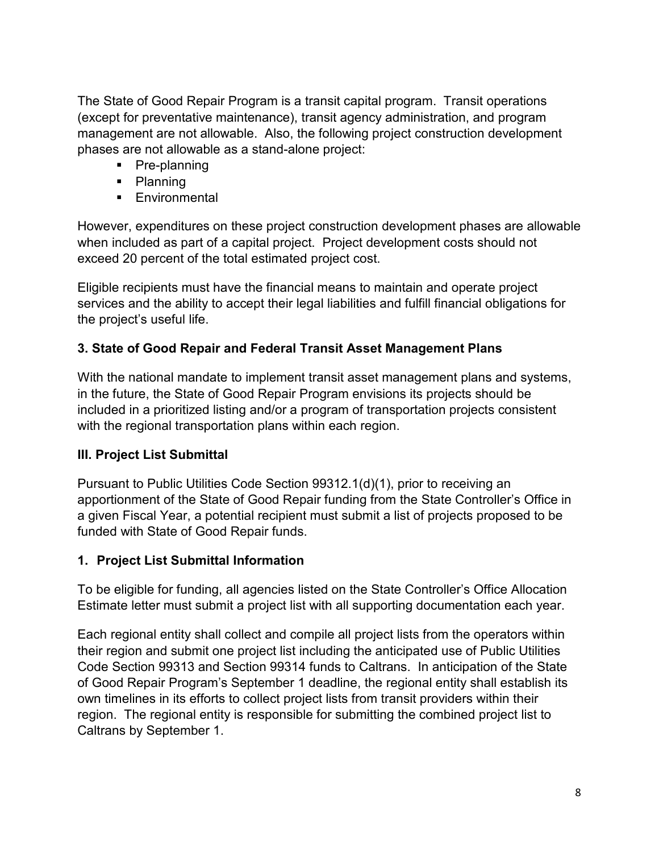The State of Good Repair Program is a transit capital program. Transit operations (except for preventative maintenance), transit agency administration, and program management are not allowable. Also, the following project construction development phases are not allowable as a stand-alone project:

- Pre-planning
- Planning
- **Environmental**

However, expenditures on these project construction development phases are allowable when included as part of a capital project. Project development costs should not exceed 20 percent of the total estimated project cost.

Eligible recipients must have the financial means to maintain and operate project services and the ability to accept their legal liabilities and fulfill financial obligations for the project's useful life.

# **3. State of Good Repair and Federal Transit Asset Management Plans**

With the national mandate to implement transit asset management plans and systems, in the future, the State of Good Repair Program envisions its projects should be included in a prioritized listing and/or a program of transportation projects consistent with the regional transportation plans within each region.

# **III. Project List Submittal**

Pursuant to Public Utilities Code Section 99312.1(d)(1), prior to receiving an apportionment of the State of Good Repair funding from the State Controller's Office in a given Fiscal Year, a potential recipient must submit a list of projects proposed to be funded with State of Good Repair funds.

# **1. Project List Submittal Information**

To be eligible for funding, all agencies listed on the State Controller's Office Allocation Estimate letter must submit a project list with all supporting documentation each year.

Each regional entity shall collect and compile all project lists from the operators within their region and submit one project list including the anticipated use of Public Utilities Code Section 99313 and Section 99314 funds to Caltrans. In anticipation of the State of Good Repair Program's September 1 deadline, the regional entity shall establish its own timelines in its efforts to collect project lists from transit providers within their region. The regional entity is responsible for submitting the combined project list to Caltrans by September 1.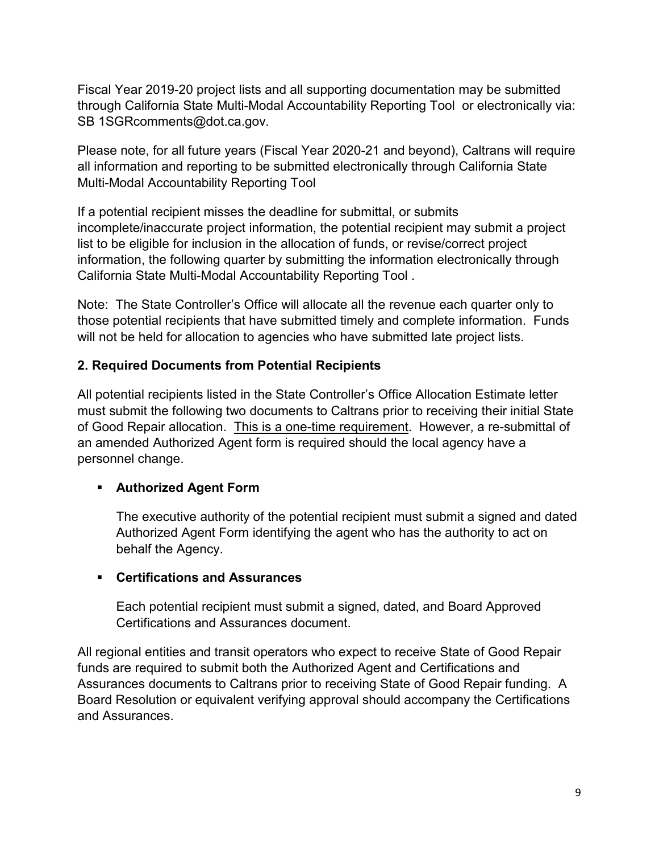Fiscal Year 2019-20 project lists and all supporting documentation may be submitted through California State Multi-Modal Accountability Reporting Tool or electronically via: SB [1SGRcomments@dot.ca.gov.](mailto:1SGRcomments@dot.ca.gov)

Please note, for all future years (Fiscal Year 2020-21 and beyond), Caltrans will require all information and reporting to be submitted electronically through California State Multi-Modal Accountability Reporting Tool

If a potential recipient misses the deadline for submittal, or submits incomplete/inaccurate project information, the potential recipient may submit a project list to be eligible for inclusion in the allocation of funds, or revise/correct project information, the following quarter by submitting the information electronically through California State Multi-Modal Accountability Reporting Tool .

Note: The State Controller's Office will allocate all the revenue each quarter only to those potential recipients that have submitted timely and complete information. Funds will not be held for allocation to agencies who have submitted late project lists.

# **2. Required Documents from Potential Recipients**

All potential recipients listed in the State Controller's Office Allocation Estimate letter must submit the following two documents to Caltrans prior to receiving their initial State of Good Repair allocation. This is a one-time requirement. However, a re-submittal of an amended Authorized Agent form is required should the local agency have a personnel change.

#### **Authorized Agent Form**

The executive authority of the potential recipient must submit a signed and dated Authorized Agent Form identifying the agent who has the authority to act on behalf the Agency.

#### **Certifications and Assurances**

Each potential recipient must submit a signed, dated, and Board Approved Certifications and Assurances document.

All regional entities and transit operators who expect to receive State of Good Repair funds are required to submit both the Authorized Agent and Certifications and Assurances documents to Caltrans prior to receiving State of Good Repair funding. A Board Resolution or equivalent verifying approval should accompany the Certifications and Assurances.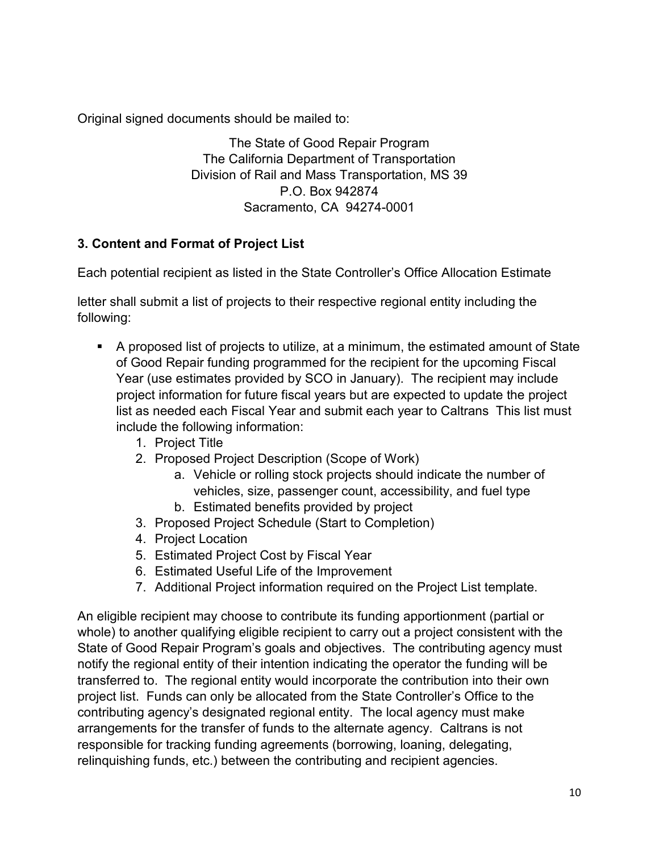Original signed documents should be mailed to:

The State of Good Repair Program The California Department of Transportation Division of Rail and Mass Transportation, MS 39 P.O. Box 942874 Sacramento, CA 94274-0001

# **3. Content and Format of Project List**

Each potential recipient as listed in the State Controller's Office Allocation Estimate

letter shall submit a list of projects to their respective regional entity including the following:

- A proposed list of projects to utilize, at a minimum, the estimated amount of State of Good Repair funding programmed for the recipient for the upcoming Fiscal Year (use estimates provided by SCO in January). The recipient may include project information for future fiscal years but are expected to update the project list as needed each Fiscal Year and submit each year to Caltrans This list must include the following information:
	- 1. Project Title
	- 2. Proposed Project Description (Scope of Work)
		- a. Vehicle or rolling stock projects should indicate the number of vehicles, size, passenger count, accessibility, and fuel type
		- b. Estimated benefits provided by project
	- 3. Proposed Project Schedule (Start to Completion)
	- 4. Project Location
	- 5. Estimated Project Cost by Fiscal Year
	- 6. Estimated Useful Life of the Improvement
	- 7. Additional Project information required on the Project List template.

An eligible recipient may choose to contribute its funding apportionment (partial or whole) to another qualifying eligible recipient to carry out a project consistent with the State of Good Repair Program's goals and objectives. The contributing agency must notify the regional entity of their intention indicating the operator the funding will be transferred to. The regional entity would incorporate the contribution into their own project list. Funds can only be allocated from the State Controller's Office to the contributing agency's designated regional entity. The local agency must make arrangements for the transfer of funds to the alternate agency. Caltrans is not responsible for tracking funding agreements (borrowing, loaning, delegating, relinquishing funds, etc.) between the contributing and recipient agencies.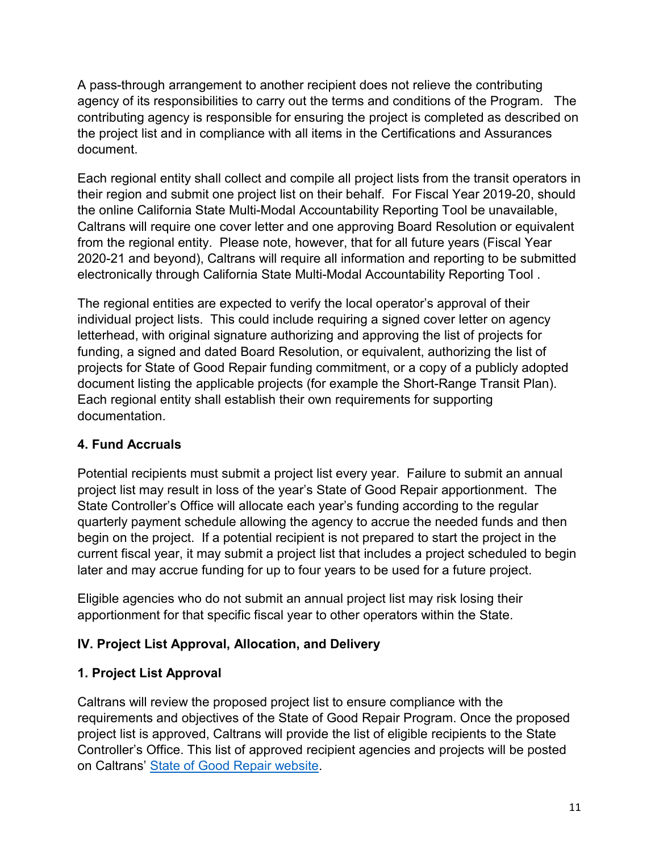A pass-through arrangement to another recipient does not relieve the contributing agency of its responsibilities to carry out the terms and conditions of the Program. The contributing agency is responsible for ensuring the project is completed as described on the project list and in compliance with all items in the Certifications and Assurances document.

Each regional entity shall collect and compile all project lists from the transit operators in their region and submit one project list on their behalf. For Fiscal Year 2019-20, should the online California State Multi-Modal Accountability Reporting Tool be unavailable, Caltrans will require one cover letter and one approving Board Resolution or equivalent from the regional entity. Please note, however, that for all future years (Fiscal Year 2020-21 and beyond), Caltrans will require all information and reporting to be submitted electronically through California State Multi-Modal Accountability Reporting Tool .

The regional entities are expected to verify the local operator's approval of their individual project lists. This could include requiring a signed cover letter on agency letterhead, with original signature authorizing and approving the list of projects for funding, a signed and dated Board Resolution, or equivalent, authorizing the list of projects for State of Good Repair funding commitment, or a copy of a publicly adopted document listing the applicable projects (for example the Short-Range Transit Plan). Each regional entity shall establish their own requirements for supporting documentation.

# **4. Fund Accruals**

Potential recipients must submit a project list every year. Failure to submit an annual project list may result in loss of the year's State of Good Repair apportionment. The State Controller's Office will allocate each year's funding according to the regular quarterly payment schedule allowing the agency to accrue the needed funds and then begin on the project. If a potential recipient is not prepared to start the project in the current fiscal year, it may submit a project list that includes a project scheduled to begin later and may accrue funding for up to four years to be used for a future project.

Eligible agencies who do not submit an annual project list may risk losing their apportionment for that specific fiscal year to other operators within the State.

# **IV. Project List Approval, Allocation, and Delivery**

# **1. Project List Approval**

Caltrans will review the proposed project list to ensure compliance with the requirements and objectives of the State of Good Repair Program. Once the proposed project list is approved, Caltrans will provide the list of eligible recipients to the State Controller's Office. This list of approved recipient agencies and projects will be posted on Caltrans' [State of Good Repair website.](https://dot.ca.gov/programs/rail-and-mass-transportation/state-transit-assistance-state-of-good-repair)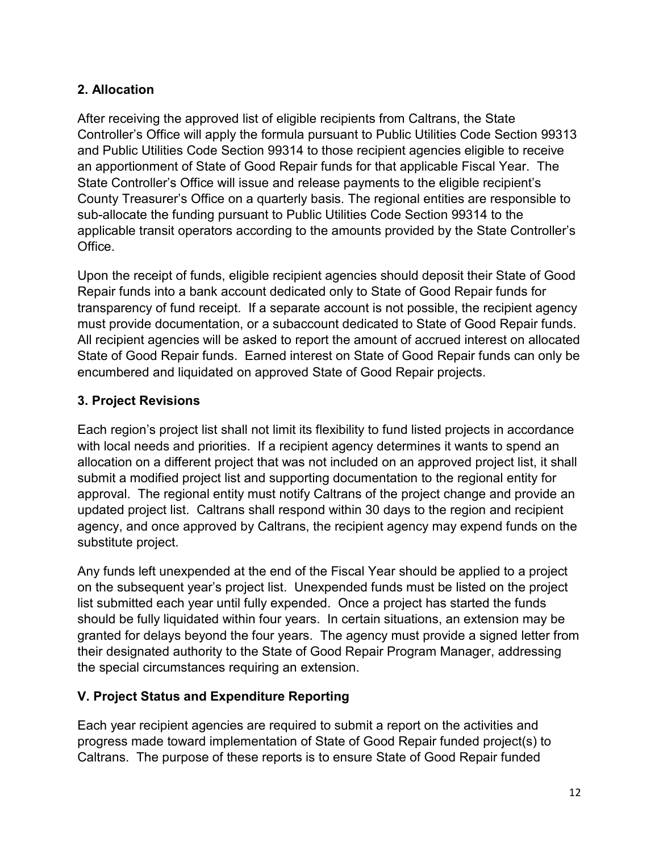# **2. Allocation**

After receiving the approved list of eligible recipients from Caltrans, the State Controller's Office will apply the formula pursuant to Public Utilities Code Section 99313 and Public Utilities Code Section 99314 to those recipient agencies eligible to receive an apportionment of State of Good Repair funds for that applicable Fiscal Year. The State Controller's Office will issue and release payments to the eligible recipient's County Treasurer's Office on a quarterly basis. The regional entities are responsible to sub-allocate the funding pursuant to Public Utilities Code Section 99314 to the applicable transit operators according to the amounts provided by the State Controller's Office.

Upon the receipt of funds, eligible recipient agencies should deposit their State of Good Repair funds into a bank account dedicated only to State of Good Repair funds for transparency of fund receipt. If a separate account is not possible, the recipient agency must provide documentation, or a subaccount dedicated to State of Good Repair funds. All recipient agencies will be asked to report the amount of accrued interest on allocated State of Good Repair funds. Earned interest on State of Good Repair funds can only be encumbered and liquidated on approved State of Good Repair projects.

# **3. Project Revisions**

Each region's project list shall not limit its flexibility to fund listed projects in accordance with local needs and priorities. If a recipient agency determines it wants to spend an allocation on a different project that was not included on an approved project list, it shall submit a modified project list and supporting documentation to the regional entity for approval. The regional entity must notify Caltrans of the project change and provide an updated project list. Caltrans shall respond within 30 days to the region and recipient agency, and once approved by Caltrans, the recipient agency may expend funds on the substitute project.

Any funds left unexpended at the end of the Fiscal Year should be applied to a project on the subsequent year's project list. Unexpended funds must be listed on the project list submitted each year until fully expended. Once a project has started the funds should be fully liquidated within four years. In certain situations, an extension may be granted for delays beyond the four years. The agency must provide a signed letter from their designated authority to the State of Good Repair Program Manager, addressing the special circumstances requiring an extension.

# **V. Project Status and Expenditure Reporting**

Each year recipient agencies are required to submit a report on the activities and progress made toward implementation of State of Good Repair funded project(s) to Caltrans. The purpose of these reports is to ensure State of Good Repair funded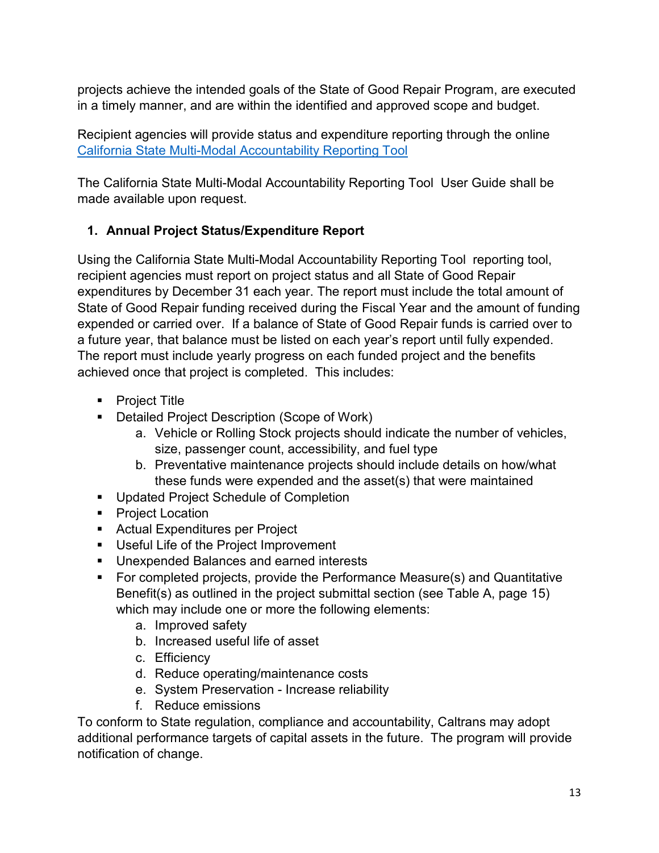projects achieve the intended goals of the State of Good Repair Program, are executed in a timely manner, and are within the identified and approved scope and budget.

Recipient agencies will provide status and expenditure reporting through the online [California State Multi-Modal Accountability Reporting Tool](https://calsmart.dot.ca.gov/login/auth)

The California State Multi-Modal Accountability Reporting Tool User Guide shall be made available upon request.

# **1. Annual Project Status/Expenditure Report**

Using the California State Multi-Modal Accountability Reporting Tool reporting tool, recipient agencies must report on project status and all State of Good Repair expenditures by December 31 each year. The report must include the total amount of State of Good Repair funding received during the Fiscal Year and the amount of funding expended or carried over. If a balance of State of Good Repair funds is carried over to a future year, that balance must be listed on each year's report until fully expended. The report must include yearly progress on each funded project and the benefits achieved once that project is completed. This includes:

- **Project Title**
- **Detailed Project Description (Scope of Work)** 
	- a. Vehicle or Rolling Stock projects should indicate the number of vehicles, size, passenger count, accessibility, and fuel type
	- b. Preventative maintenance projects should include details on how/what these funds were expended and the asset(s) that were maintained
- **Updated Project Schedule of Completion**
- **Project Location**
- **Actual Expenditures per Project**
- **Useful Life of the Project Improvement**
- **Unexpended Balances and earned interests**
- For completed projects, provide the Performance Measure(s) and Quantitative Benefit(s) as outlined in the project submittal section (see Table A, page 15) which may include one or more the following elements:
	- a. Improved safety
	- b. Increased useful life of asset
	- c. Efficiency
	- d. Reduce operating/maintenance costs
	- e. System Preservation Increase reliability
	- f. Reduce emissions

To conform to State regulation, compliance and accountability, Caltrans may adopt additional performance targets of capital assets in the future. The program will provide notification of change.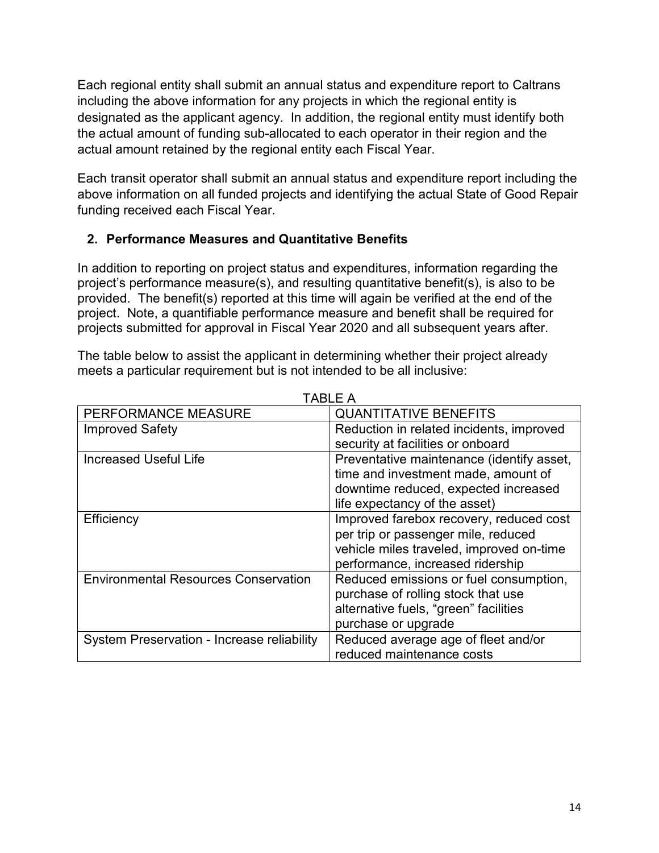Each regional entity shall submit an annual status and expenditure report to Caltrans including the above information for any projects in which the regional entity is designated as the applicant agency. In addition, the regional entity must identify both the actual amount of funding sub-allocated to each operator in their region and the actual amount retained by the regional entity each Fiscal Year.

Each transit operator shall submit an annual status and expenditure report including the above information on all funded projects and identifying the actual State of Good Repair funding received each Fiscal Year.

# **2. Performance Measures and Quantitative Benefits**

In addition to reporting on project status and expenditures, information regarding the project's performance measure(s), and resulting quantitative benefit(s), is also to be provided. The benefit(s) reported at this time will again be verified at the end of the project. Note, a quantifiable performance measure and benefit shall be required for projects submitted for approval in Fiscal Year 2020 and all subsequent years after.

The table below to assist the applicant in determining whether their project already meets a particular requirement but is not intended to be all inclusive:

|                                             | TABLE A                                   |
|---------------------------------------------|-------------------------------------------|
| PERFORMANCE MEASURE                         | <b>QUANTITATIVE BENEFITS</b>              |
| <b>Improved Safety</b>                      | Reduction in related incidents, improved  |
|                                             | security at facilities or onboard         |
| <b>Increased Useful Life</b>                | Preventative maintenance (identify asset, |
|                                             | time and investment made, amount of       |
|                                             | downtime reduced, expected increased      |
|                                             | life expectancy of the asset)             |
| Efficiency                                  | Improved farebox recovery, reduced cost   |
|                                             | per trip or passenger mile, reduced       |
|                                             | vehicle miles traveled, improved on-time  |
|                                             | performance, increased ridership          |
| <b>Environmental Resources Conservation</b> | Reduced emissions or fuel consumption,    |
|                                             | purchase of rolling stock that use        |
|                                             | alternative fuels, "green" facilities     |
|                                             | purchase or upgrade                       |
| System Preservation - Increase reliability  | Reduced average age of fleet and/or       |
|                                             | reduced maintenance costs                 |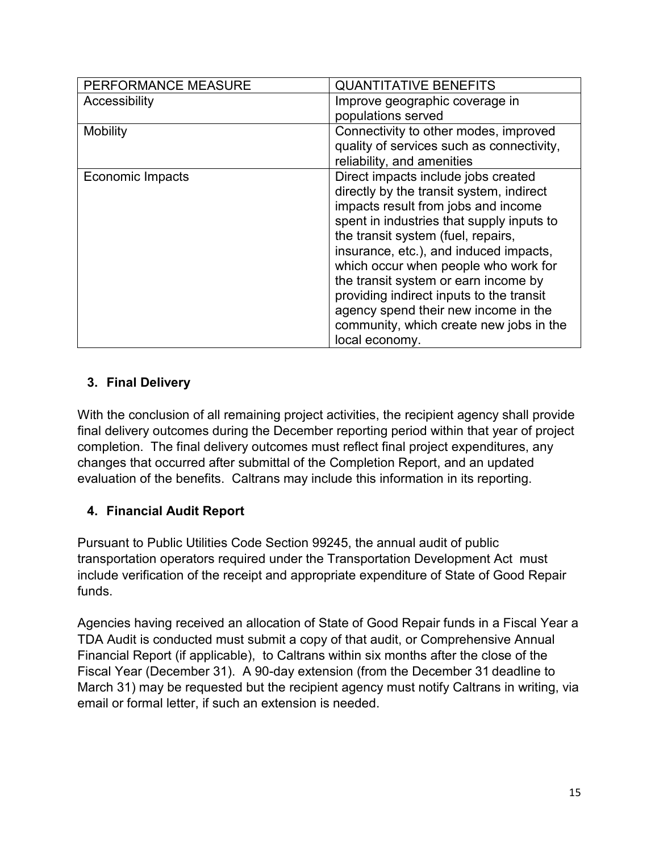| PERFORMANCE MEASURE | <b>QUANTITATIVE BENEFITS</b>              |
|---------------------|-------------------------------------------|
| Accessibility       | Improve geographic coverage in            |
|                     | populations served                        |
| <b>Mobility</b>     | Connectivity to other modes, improved     |
|                     | quality of services such as connectivity, |
|                     | reliability, and amenities                |
| Economic Impacts    | Direct impacts include jobs created       |
|                     | directly by the transit system, indirect  |
|                     | impacts result from jobs and income       |
|                     | spent in industries that supply inputs to |
|                     | the transit system (fuel, repairs,        |
|                     | insurance, etc.), and induced impacts,    |
|                     | which occur when people who work for      |
|                     | the transit system or earn income by      |
|                     | providing indirect inputs to the transit  |
|                     | agency spend their new income in the      |
|                     | community, which create new jobs in the   |
|                     | local economy.                            |

# **3. Final Delivery**

With the conclusion of all remaining project activities, the recipient agency shall provide final delivery outcomes during the December reporting period within that year of project completion. The final delivery outcomes must reflect final project expenditures, any changes that occurred after submittal of the Completion Report, and an updated evaluation of the benefits. Caltrans may include this information in its reporting.

# **4. Financial Audit Report**

Pursuant to Public Utilities Code Section 99245, the annual audit of public transportation operators required under the Transportation Development Act must include verification of the receipt and appropriate expenditure of State of Good Repair funds.

Agencies having received an allocation of State of Good Repair funds in a Fiscal Year a TDA Audit is conducted must submit a copy of that audit, or Comprehensive Annual Financial Report (if applicable), to Caltrans within six months after the close of the Fiscal Year (December 31). A 90-day extension (from the December 31 deadline to March 31) may be requested but the recipient agency must notify Caltrans in writing, via email or formal letter, if such an extension is needed.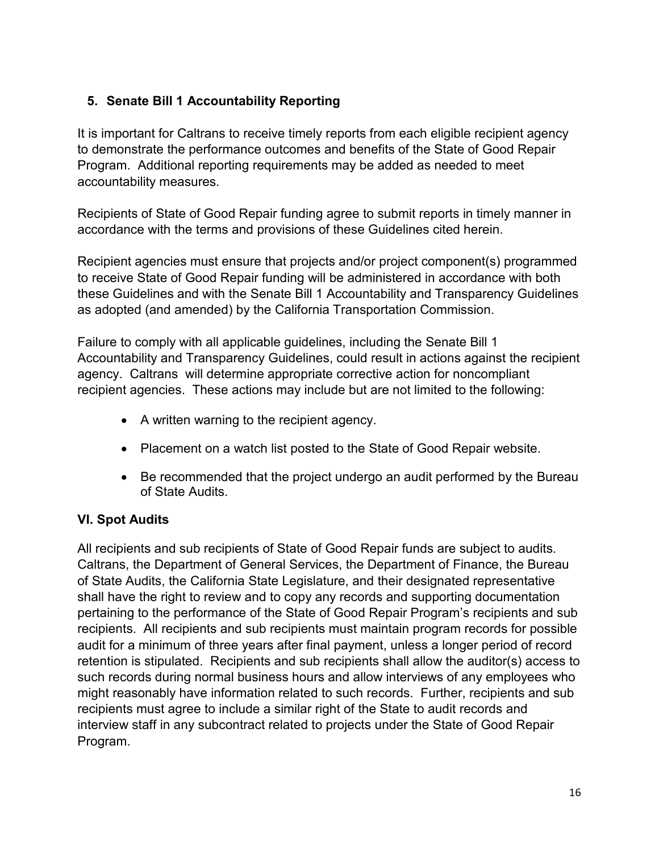# **5. Senate Bill 1 Accountability Reporting**

It is important for Caltrans to receive timely reports from each eligible recipient agency to demonstrate the performance outcomes and benefits of the State of Good Repair Program. Additional reporting requirements may be added as needed to meet accountability measures.

Recipients of State of Good Repair funding agree to submit reports in timely manner in accordance with the terms and provisions of these Guidelines cited herein.

Recipient agencies must ensure that projects and/or project component(s) programmed to receive State of Good Repair funding will be administered in accordance with both these Guidelines and with the Senate Bill 1 Accountability and Transparency Guidelines as adopted (and amended) by the California Transportation Commission.

Failure to comply with all applicable guidelines, including the Senate Bill 1 Accountability and Transparency Guidelines, could result in actions against the recipient agency. Caltrans will determine appropriate corrective action for noncompliant recipient agencies. These actions may include but are not limited to the following:

- A written warning to the recipient agency.
- Placement on a watch list posted to the State of Good Repair website.
- Be recommended that the project undergo an audit performed by the Bureau of State Audits.

# **VI. Spot Audits**

All recipients and sub recipients of State of Good Repair funds are subject to audits. Caltrans, the Department of General Services, the Department of Finance, the Bureau of State Audits, the California State Legislature, and their designated representative shall have the right to review and to copy any records and supporting documentation pertaining to the performance of the State of Good Repair Program's recipients and sub recipients. All recipients and sub recipients must maintain program records for possible audit for a minimum of three years after final payment, unless a longer period of record retention is stipulated. Recipients and sub recipients shall allow the auditor(s) access to such records during normal business hours and allow interviews of any employees who might reasonably have information related to such records. Further, recipients and sub recipients must agree to include a similar right of the State to audit records and interview staff in any subcontract related to projects under the State of Good Repair Program.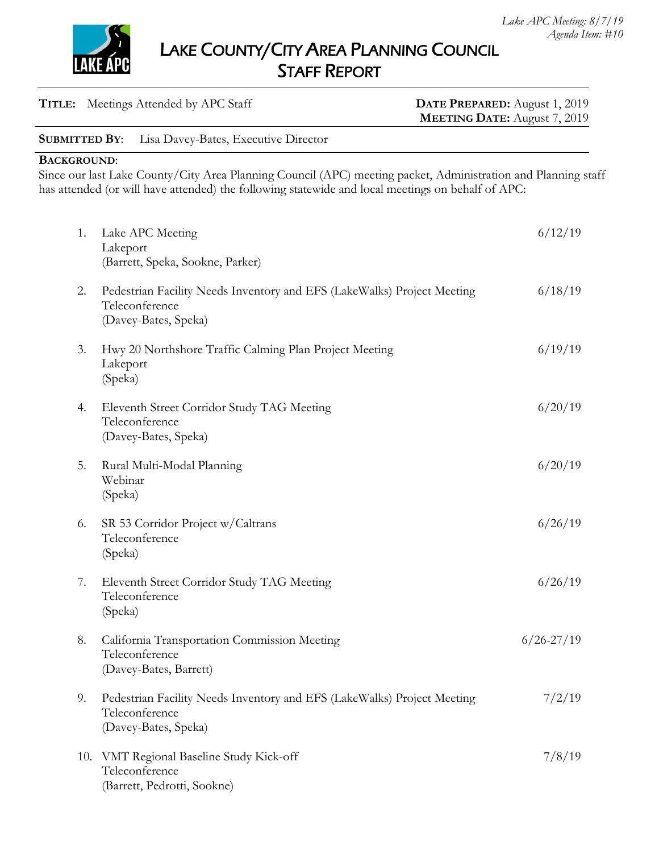

LAKE COUNTY/CITY AREA PLANNING COUNCIL STAFF REPORT

| <b>TITLE:</b> Meetings Attended by APC Staff              | DATE PREPARED: August 1, 2019<br><b>MEETING DATE:</b> August 7, 2019 |
|-----------------------------------------------------------|----------------------------------------------------------------------|
| <b>SUBMITTED BY:</b> Lisa Davey-Bates, Executive Director |                                                                      |

**BACKGROUND**:

Since our last Lake County/City Area Planning Council (APC) meeting packet, Administration and Planning staff has attended (or will have attended) the following statewide and local meetings on behalf of APC:

| 1.  | Lake APC Meeting<br>Lakeport<br>(Barrett, Speka, Sookne, Parker)                                                  | 6/12/19        |
|-----|-------------------------------------------------------------------------------------------------------------------|----------------|
| 2.  | Pedestrian Facility Needs Inventory and EFS (LakeWalks) Project Meeting<br>Teleconference<br>(Davey-Bates, Speka) | 6/18/19        |
| 3.  | Hwy 20 Northshore Traffic Calming Plan Project Meeting<br>Lakeport<br>(Speka)                                     | 6/19/19        |
| 4.  | Eleventh Street Corridor Study TAG Meeting<br>Teleconference<br>(Davey-Bates, Speka)                              | 6/20/19        |
| 5.  | Rural Multi-Modal Planning<br>Webinar<br>(Speka)                                                                  | 6/20/19        |
| 6.  | SR 53 Corridor Project w/Caltrans<br>Teleconference<br>(Speka)                                                    | 6/26/19        |
| 7.  | Eleventh Street Corridor Study TAG Meeting<br>Teleconference<br>(Speka)                                           | 6/26/19        |
| 8.  | California Transportation Commission Meeting<br>Teleconference<br>(Davey-Bates, Barrett)                          | $6/26 - 27/19$ |
| 9.  | Pedestrian Facility Needs Inventory and EFS (LakeWalks) Project Meeting<br>Teleconference<br>(Davey-Bates, Speka) | 7/2/19         |
| 10. | VMT Regional Baseline Study Kick-off<br>Teleconference<br>(Barrett, Pedrotti, Sookne)                             | 7/8/19         |